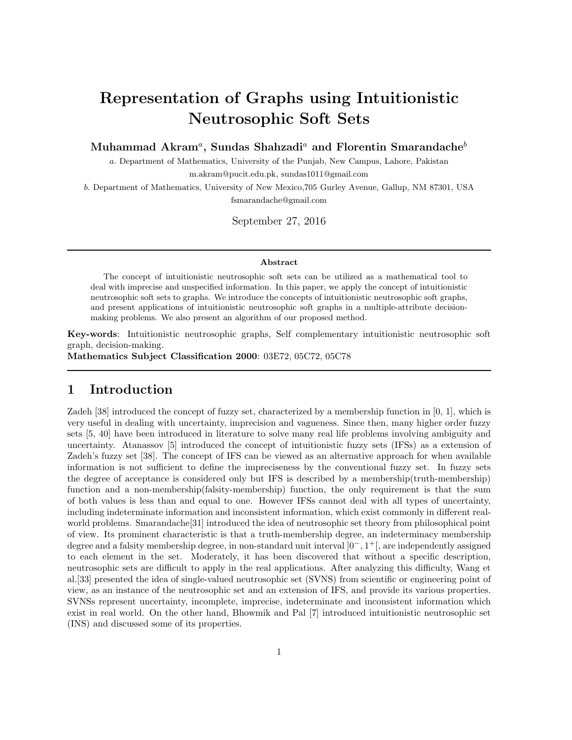# Representation of Graphs using Intuitionistic Neutrosophic Soft Sets

Muhammad Akram ${}^a,\, {\rm Sundas\ Shahzadi}{}^a \, \, {\rm and\ Florentin\ Smarandache}{}^b$ 

a. Department of Mathematics, University of the Punjab, New Campus, Lahore, Pakistan m.akram@pucit.edu.pk, sundas1011@gmail.com

b. Department of Mathematics, University of New Mexico,705 Gurley Avenue, Gallup, NM 87301, USA fsmarandache@gmail.com

September 27, 2016

#### Abstract

The concept of intuitionistic neutrosophic soft sets can be utilized as a mathematical tool to deal with imprecise and unspecified information. In this paper, we apply the concept of intuitionistic neutrosophic soft sets to graphs. We introduce the concepts of intuitionistic neutrosophic soft graphs, and present applications of intuitionistic neutrosophic soft graphs in a multiple-attribute decisionmaking problems. We also present an algorithm of our proposed method.

Key-words: Intuitionistic neutrosophic graphs, Self complementary intuitionistic neutrosophic soft graph, decision-making.

Mathematics Subject Classification 2000: 03E72, 05C72, 05C78

## 1 Introduction

Zadeh [38] introduced the concept of fuzzy set, characterized by a membership function in [0, 1], which is very useful in dealing with uncertainty, imprecision and vagueness. Since then, many higher order fuzzy sets [5, 40] have been introduced in literature to solve many real life problems involving ambiguity and uncertainty. Atanassov [5] introduced the concept of intuitionistic fuzzy sets (IFSs) as a extension of Zadeh's fuzzy set [38]. The concept of IFS can be viewed as an alternative approach for when available information is not sufficient to define the impreciseness by the conventional fuzzy set. In fuzzy sets the degree of acceptance is considered only but IFS is described by a membership(truth-membership) function and a non-membership(falsity-membership) function, the only requirement is that the sum of both values is less than and equal to one. However IFSs cannot deal with all types of uncertainty, including indeterminate information and inconsistent information, which exist commonly in different realworld problems. Smarandache[31] introduced the idea of neutrosophic set theory from philosophical point of view. Its prominent characteristic is that a truth-membership degree, an indeterminacy membership degree and a falsity membership degree, in non-standard unit interval ]0<sup>−</sup>, 1 <sup>+</sup>[, are independently assigned to each element in the set. Moderately, it has been discovered that without a specific description, neutrosophic sets are difficult to apply in the real applications. After analyzing this difficulty, Wang et al.[33] presented the idea of single-valued neutrosophic set (SVNS) from scientific or engineering point of view, as an instance of the neutrosophic set and an extension of IFS, and provide its various properties. SVNSs represent uncertainty, incomplete, imprecise, indeterminate and inconsistent information which exist in real world. On the other hand, Bhowmik and Pal [7] introduced intuitionistic neutrosophic set (INS) and discussed some of its properties.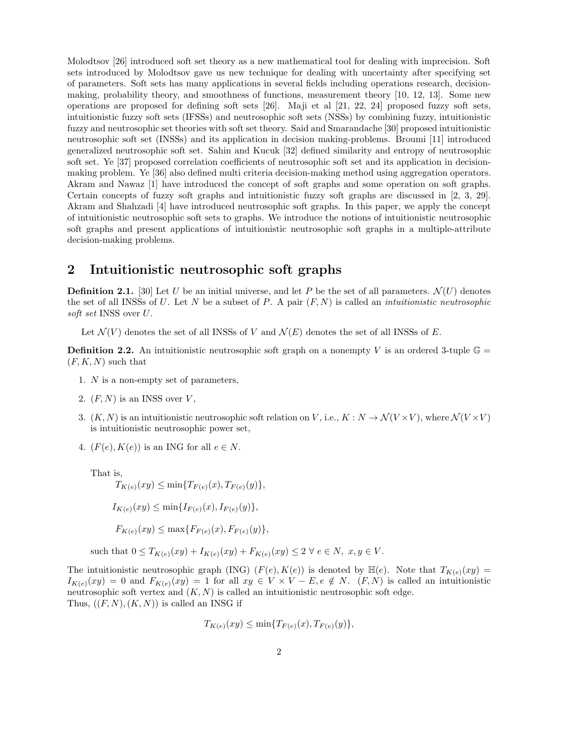Molodtsov [26] introduced soft set theory as a new mathematical tool for dealing with imprecision. Soft sets introduced by Molodtsov gave us new technique for dealing with uncertainty after specifying set of parameters. Soft sets has many applications in several fields including operations research, decisionmaking, probability theory, and smoothness of functions, measurement theory [10, 12, 13]. Some new operations are proposed for defining soft sets [26]. Maji et al [21, 22, 24] proposed fuzzy soft sets, intuitionistic fuzzy soft sets (IFSSs) and neutrosophic soft sets (NSSs) by combining fuzzy, intuitionistic fuzzy and neutrosophic set theories with soft set theory. Said and Smarandache [30] proposed intuitionistic neutrosophic soft set (INSSs) and its application in decision making-problems. Broumi [11] introduced generalized neutrosophic soft set. Sahin and Kucuk [32] defined similarity and entropy of neutrosophic soft set. Ye [37] proposed correlation coefficients of neutrosophic soft set and its application in decisionmaking problem. Ye [36] also defined multi criteria decision-making method using aggregation operators. Akram and Nawaz [1] have introduced the concept of soft graphs and some operation on soft graphs. Certain concepts of fuzzy soft graphs and intuitionistic fuzzy soft graphs are discussed in [2, 3, 29]. Akram and Shahzadi [4] have introduced neutrosophic soft graphs. In this paper, we apply the concept of intuitionistic neutrosophic soft sets to graphs. We introduce the notions of intuitionistic neutrosophic soft graphs and present applications of intuitionistic neutrosophic soft graphs in a multiple-attribute decision-making problems.

## 2 Intuitionistic neutrosophic soft graphs

**Definition 2.1.** [30] Let U be an initial universe, and let P be the set of all parameters.  $\mathcal{N}(U)$  denotes the set of all INSSs of U. Let N be a subset of P. A pair  $(F, N)$  is called an *intuitionistic neutrosophic* soft set INSS over U.

Let  $\mathcal{N}(V)$  denotes the set of all INSSs of V and  $\mathcal{N}(E)$  denotes the set of all INSSs of E.

**Definition 2.2.** An intuitionistic neutrosophic soft graph on a nonempty V is an ordered 3-tuple  $\mathbb{G} =$  $(F, K, N)$  such that

- 1. N is a non-empty set of parameters,
- 2.  $(F, N)$  is an INSS over V,
- 3.  $(K, N)$  is an intuitionistic neutrosophic soft relation on V, i.e.,  $K: N \to \mathcal{N}(V \times V)$ , where  $\mathcal{N}(V \times V)$ is intuitionistic neutrosophic power set,
- 4.  $(F(e), K(e))$  is an ING for all  $e \in N$ .

That is,

$$
T_{K(e)}(xy) \le \min\{T_{F(e)}(x), T_{F(e)}(y)\},
$$
  

$$
I_{K(e)}(xy) \le \min\{I_{F(e)}(x), I_{F(e)}(y)\},
$$
  

$$
F_{K(e)}(xy) \le \max\{F_{F(e)}(x), F_{F(e)}(y)\},
$$

such that  $0 \leq T_{K(e)}(xy) + I_{K(e)}(xy) + F_{K(e)}(xy) \leq 2 \ \forall \ e \in N, \ x, y \in V$ .

The intuitionistic neutrosophic graph (ING)  $(F(e), K(e))$  is denoted by  $\mathbb{H}(e)$ . Note that  $T_{K(e)}(xy) =$  $I_{K(e)}(xy) = 0$  and  $F_{K(e)}(xy) = 1$  for all  $xy \in V \times V - E$ ,  $e \notin N$ .  $(F, N)$  is called an intuitionistic neutrosophic soft vertex and  $(K, N)$  is called an intuitionistic neutrosophic soft edge. Thus,  $((F, N), (K, N))$  is called an INSG if

$$
T_{K(e)}(xy) \le \min\{T_{F(e)}(x), T_{F(e)}(y)\},\
$$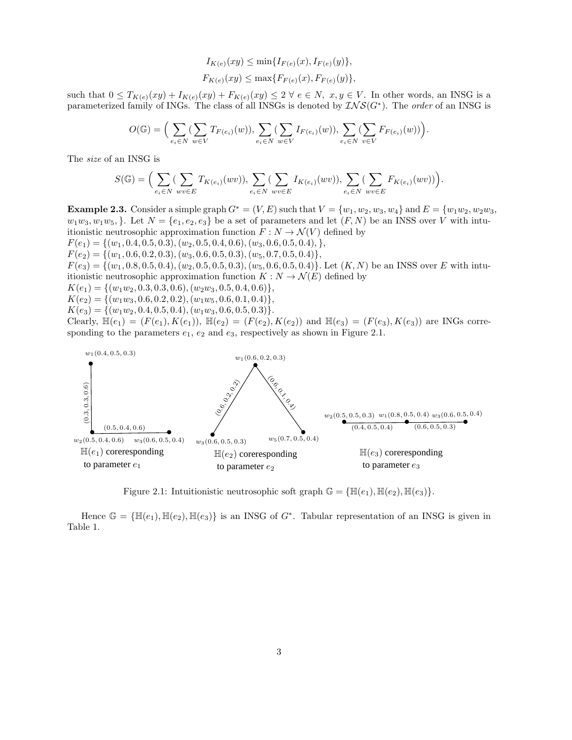$$
I_{K(e)}(xy) \le \min\{I_{F(e)}(x), I_{F(e)}(y)\},
$$
  

$$
F_{K(e)}(xy) \le \max\{F_{F(e)}(x), F_{F(e)}(y)\},
$$

such that  $0 \leq T_{K(e)}(xy) + I_{K(e)}(xy) + F_{K(e)}(xy) \leq 2 \ \forall \ e \in N, \ x, y \in V$ . In other words, an INSG is a parameterized family of INGs. The class of all INSGs is denoted by  $\mathcal{INS}(G^*)$ . The order of an INSG is

$$
O(\mathbb{G}) = \Big(\sum_{e_i \in N} (\sum_{w \in V} T_{F(e_i)}(w)), \sum_{e_i \in N} (\sum_{w \in V} I_{F(e_i)}(w)), \sum_{e_i \in N} (\sum_{v \in V} F_{F(e_i)}(w))\Big).
$$

The size of an INSG is

$$
S(\mathbb{G}) = \Big( \sum_{e_i \in N} \big( \sum_{wv \in E} T_{K(e_i)}(wv) \big), \sum_{e_i \in N} \big( \sum_{wv \in E} I_{K(e_i)}(wv) \big), \sum_{e_i \in N} \big( \sum_{wv \in E} F_{K(e_i)}(wv) \big) \Big).
$$

Example 2.3. Consider a simple graph  $G^* = (V, E)$  such that  $V = \{w_1, w_2, w_3, w_4\}$  and  $E = \{w_1w_2, w_2w_3, w_4w_4\}$  $w_1w_3, w_1w_5$ , l. Let  $N = \{e_1, e_2, e_3\}$  be a set of parameters and let  $(F, N)$  be an INSS over V with intuitionistic neutrosophic approximation function  $F: N \to \mathcal{N}(V)$  defined by  $F(e_1) = \{(w_1, 0.4, 0.5, 0.3), (w_2, 0.5, 0.4, 0.6), (w_3, 0.6, 0.5, 0.4), \},\$  $F(e_2) = \{(w_1, 0.6, 0.2, 0.3), (w_3, 0.6, 0.5, 0.3), (w_5, 0.7, 0.5, 0.4)\},\$  $F(e_3) = \{(w_1, 0.8, 0.5, 0.4), (w_2, 0.5, 0.5, 0.3), (w_5, 0.6, 0.5, 0.4)\}\.$  Let  $(K, N)$  be an INSS over E with intuitionistic neutrosophic approximation function  $K : N \to \mathcal{N}(E)$  defined by  $K(e_1) = \{(w_1w_2, 0.3, 0.3, 0.6), (w_2w_3, 0.5, 0.4, 0.6)\},\$  $K(e_2) = \{(w_1w_3, 0.6, 0.2, 0.2), (w_1w_5, 0.6, 0.1, 0.4)\},\$  $K(e_3) = \{(w_1w_2, 0.4, 0.5, 0.4), (w_1w_3, 0.6, 0.5, 0.3)\}.$ 

Clearly,  $\mathbb{H}(e_1) = (F(e_1), K(e_1)), \mathbb{H}(e_2) = (F(e_2), K(e_2))$  and  $\mathbb{H}(e_3) = (F(e_3), K(e_3))$  are INGs corresponding to the parameters  $e_1$ ,  $e_2$  and  $e_3$ , respectively as shown in Figure 2.1.



Figure 2.1: Intuitionistic neutrosophic soft graph  $\mathbb{G} = {\mathbb{H}(e_1), \mathbb{H}(e_2), \mathbb{H}(e_3)}$ .

Hence  $\mathbb{G} = {\mathbb{H}(e_1), \mathbb{H}(e_2), \mathbb{H}(e_3)}$  is an INSG of  $G^*$ . Tabular representation of an INSG is given in Table 1.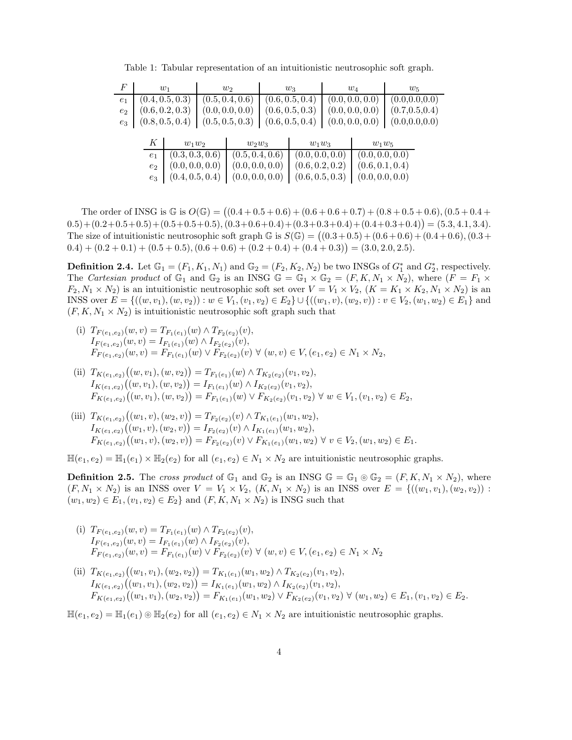| F              |                | $w_1$           | $w_2$           | $w_3$           | $w_4$           | $w_5$           |  |
|----------------|----------------|-----------------|-----------------|-----------------|-----------------|-----------------|--|
| e <sub>1</sub> |                | (0.4, 0.5, 0.3) | (0.5, 0.4, 0.6) | (0.6, 0.5, 0.4) | (0.0, 0.0, 0.0) | (0.0, 0.0, 0.0) |  |
| $e_2$          |                | (0.6, 0.2, 0.3) | (0.0, 0.0, 0.0) | (0.6, 0.5, 0.3) | (0.0, 0.0, 0.0) | (0.7, 0.5, 0.4) |  |
| $e_3$          |                | (0.8, 0.5, 0.4) | (0.5, 0.5, 0.3) | (0.6, 0.5, 0.4) | (0.0, 0.0, 0.0) | (0.0, 0.0, 0.0) |  |
|                |                |                 |                 |                 |                 |                 |  |
|                | Κ              | $w_1w_2$        | $w_2w_3$        | $w_1w_3$        | $w_1w_5$        |                 |  |
|                | e <sub>1</sub> | (0.3, 0.3, 0.6) | (0.5, 0.4, 0.6) | (0.0, 0.0, 0.0) | (0.0, 0.0, 0.0) |                 |  |
|                | e <sub>2</sub> | (0.0, 0.0, 0.0) | (0.0, 0.0, 0.0) | (0.6, 0.2, 0.2) | (0.6, 0.1, 0.4) |                 |  |
|                | $e_3$          | (0.4, 0.5, 0.4) | (0.0, 0.0, 0.0) | (0.6, 0.5, 0.3) | (0.0, 0.0, 0.0) |                 |  |

Table 1: Tabular representation of an intuitionistic neutrosophic soft graph.

The order of INSG is  $\mathbb{G}$  is  $O(\mathbb{G}) = ((0.4 + 0.5 + 0.6) + (0.6 + 0.6 + 0.7) + (0.8 + 0.5 + 0.6), (0.5 + 0.4 +$  $(0.5)+(0.2+0.5+0.5)+(0.5+0.5+0.5),(0.3+0.6+0.4)+(0.3+0.3+0.4)+(0.4+0.3+0.4)) = (5.3, 4.1, 3.4).$ The size of intuitionistic neutrosophic soft graph  $\mathbb{G}$  is  $S(\mathbb{G}) = ((0.3 + 0.5) + (0.6 + 0.6) + (0.4 + 0.6), (0.3 + 0.5))$  $(0.4) + (0.2 + 0.1) + (0.5 + 0.5), (0.6 + 0.6) + (0.2 + 0.4) + (0.4 + 0.3)) = (3.0, 2.0, 2.5).$ 

**Definition 2.4.** Let  $\mathbb{G}_1 = (F_1, K_1, N_1)$  and  $\mathbb{G}_2 = (F_2, K_2, N_2)$  be two INSGs of  $G_1^*$  and  $G_2^*$ , respectively. The Cartesian product of  $\mathbb{G}_1$  and  $\mathbb{G}_2$  is an INSG  $\mathbb{G} = \mathbb{G}_1 \times \mathbb{G}_2 = (F, K, N_1 \times N_2)$ , where  $(F = F_1 \times$  $F_2, N_1 \times N_2$ ) is an intuitionistic neutrosophic soft set over  $V = V_1 \times V_2$ ,  $(K = K_1 \times K_2, N_1 \times N_2)$  is an INSS over  $E = \{((w, v_1), (w, v_2)) : w \in V_1, (v_1, v_2) \in E_2\} \cup \{((w_1, v), (w_2, v)) : v \in V_2, (w_1, w_2) \in E_1\}$  and  $(F, K, N_1 \times N_2)$  is intuitionistic neutrosophic soft graph such that

- (i)  $T_{F(e_1,e_2)}(w,v) = T_{F_1(e_1)}(w) \wedge T_{F_2(e_2)}(v),$  $I_{F(e_1,e_2)}(w,v) = I_{F_1(e_1)}(w) \wedge I_{F_2(e_2)}(v),$  $F_{F(e_1,e_2)}(w,v) = F_{F_1(e_1)}(w) \vee F_{F_2(e_2)}(v) \vee (w,v) \in V, (e_1,e_2) \in N_1 \times N_2,$
- (ii)  $T_{K(e_1,e_2)}((w,v_1),(w,v_2)) = T_{F_1(e_1)}(w) \wedge T_{K_2(e_2)}(v_1,v_2),$  $I_{K(e_1,e_2)}((w,v_1),(w,v_2)) = I_{F_1(e_1)}(w) \wedge I_{K_2(e_2)}(v_1,v_2),$  $F_{K(e_1,e_2)}((w,v_1),(w,v_2)) = F_{F_1(e_1)}(w) \vee F_{K_2(e_2)}(v_1,v_2) \forall w \in V_1,(v_1,v_2) \in E_2,$
- (iii)  $T_{K(e_1,e_2)}((w_1,v),(w_2,v)) = T_{F_2(e_2)}(v) \wedge T_{K_1(e_1)}(w_1,w_2),$  $I_{K(e_1,e_2)}((w_1,v),(w_2,v)) = I_{F_2(e_2)}(v) \wedge I_{K_1(e_1)}(w_1,w_2),$  $F_{K(e_1,e_2)}((w_1,v),(w_2,v)) = F_{F_2(e_2)}(v) \vee F_{K_1(e_1)}(w_1,w_2) \forall v \in V_2, (w_1,w_2) \in E_1.$

 $\mathbb{H}(e_1, e_2) = \mathbb{H}_1(e_1) \times \mathbb{H}_2(e_2)$  for all  $(e_1, e_2) \in N_1 \times N_2$  are intuitionistic neutrosophic graphs.

**Definition 2.5.** The cross product of  $\mathbb{G}_1$  and  $\mathbb{G}_2$  is an INSG  $\mathbb{G} = \mathbb{G}_1 \circ \mathbb{G}_2 = (F, K, N_1 \times N_2)$ , where  $(F, N_1 \times N_2)$  is an INSS over  $V = V_1 \times V_2$ ,  $(K, N_1 \times N_2)$  is an INSS over  $E = \{((w_1, v_1), (w_2, v_2))\}$ :  $(w_1, w_2) \in E_1, (v_1, v_2) \in E_2$  and  $(F, K, N_1 \times N_2)$  is INSG such that

- (i)  $T_{F(e_1,e_2)}(w,v) = T_{F_1(e_1)}(w) \wedge T_{F_2(e_2)}(v),$  $I_{F(e_1,e_2)}(w,v) = I_{F_1(e_1)}(w) \wedge I_{F_2(e_2)}(v),$  $F_{F(e_1,e_2)}(w,v) = F_{F_1(e_1)}(w) \vee F_{F_2(e_2)}(v) \vee (w,v) \in V, (e_1,e_2) \in N_1 \times N_2$
- (ii)  $T_{K(e_1,e_2)}((w_1,v_1),(w_2,v_2)) = T_{K_1(e_1)}(w_1,w_2) \wedge T_{K_2(e_2)}(v_1,v_2),$  $I_{K(e_1,e_2)}((w_1,v_1),(w_2,v_2)) = I_{K_1(e_1)}(w_1,w_2) \wedge I_{K_2(e_2)}(v_1,v_2),$  $F_{K(e_1,e_2)}((w_1,v_1),(w_2,v_2)) = F_{K_1(e_1)}(w_1,w_2) \vee F_{K_2(e_2)}(v_1,v_2) \forall (w_1,w_2) \in E_1, (v_1,v_2) \in E_2.$

 $\mathbb{H}(e_1, e_2) = \mathbb{H}_1(e_1) \otimes \mathbb{H}_2(e_2)$  for all  $(e_1, e_2) \in N_1 \times N_2$  are intuitionistic neutrosophic graphs.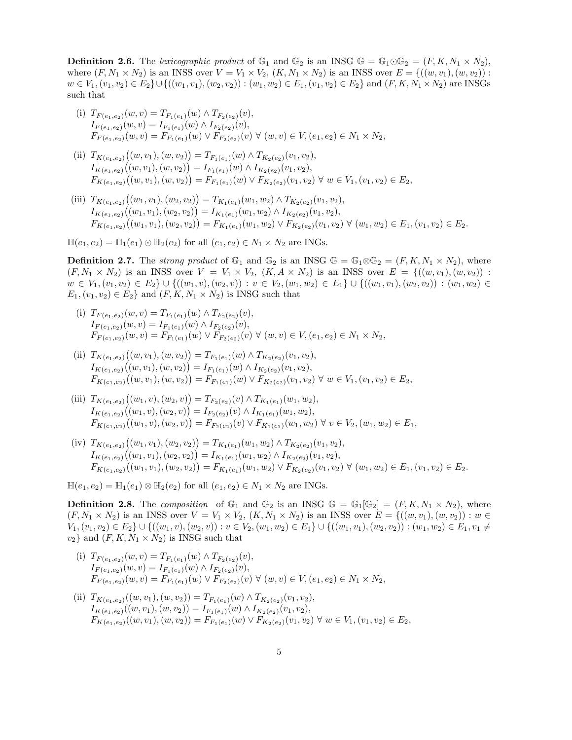**Definition 2.6.** The lexicographic product of  $\mathbb{G}_1$  and  $\mathbb{G}_2$  is an INSG  $\mathbb{G} = \mathbb{G}_1 \odot \mathbb{G}_2 = (F, K, N_1 \times N_2),$ where  $(F, N_1 \times N_2)$  is an INSS over  $V = V_1 \times V_2$ ,  $(K, N_1 \times N_2)$  is an INSS over  $E = \{((w, v_1), (w, v_2))\}$ :  $w \in V_1, (v_1, v_2) \in E_2 \cup \{((w_1, v_1), (w_2, v_2)) : (w_1, w_2) \in E_1, (v_1, v_2) \in E_2\}$  and  $(F, K, N_1 \times N_2)$  are INSGs such that

- (i)  $T_{F(e_1,e_2)}(w,v) = T_{F_1(e_1)}(w) \wedge T_{F_2(e_2)}(v),$  $I_{F(e_1,e_2)}(w,v) = I_{F_1(e_1)}(w) \wedge I_{F_2(e_2)}(v),$  $F_{F(e_1,e_2)}(w,v) = F_{F_1(e_1)}(w) \vee F_{F_2(e_2)}(v) \vee (w,v) \in V, (e_1,e_2) \in N_1 \times N_2,$
- (ii)  $T_{K(e_1,e_2)}((w,v_1),(w,v_2)) = T_{F_1(e_1)}(w) \wedge T_{K_2(e_2)}(v_1,v_2),$  $I_{K(e_1,e_2)}((w,v_1),(w,v_2)) = I_{F_1(e_1)}(w) \wedge I_{K_2(e_2)}(v_1,v_2),$  $F_{K(e_1,e_2)}((w,v_1),(w,v_2)) = F_{F_1(e_1)}(w) \vee F_{K_2(e_2)}(v_1,v_2) \forall w \in V_1, (v_1,v_2) \in E_2,$
- (iii)  $T_{K(e_1,e_2)}((w_1,v_1),(w_2,v_2)) = T_{K_1(e_1)}(w_1,w_2) \wedge T_{K_2(e_2)}(v_1,v_2),$  $I_{K(e_1,e_2)}((w_1,v_1),(w_2,v_2)) = I_{K_1(e_1)}(w_1,w_2) \wedge I_{K_2(e_2)}(v_1,v_2),$  $F_{K(e_1,e_2)}((w_1,v_1),(w_2,v_2)) = F_{K_1(e_1)}(w_1,w_2) \vee F_{K_2(e_2)}(v_1,v_2) \forall (w_1,w_2) \in E_1, (v_1,v_2) \in E_2.$

 $\mathbb{H}(e_1, e_2) = \mathbb{H}_1(e_1) \odot \mathbb{H}_2(e_2)$  for all  $(e_1, e_2) \in N_1 \times N_2$  are INGs.

**Definition 2.7.** The *strong product* of  $\mathbb{G}_1$  and  $\mathbb{G}_2$  is an INSG  $\mathbb{G} = \mathbb{G}_1 \otimes \mathbb{G}_2 = (F, K, N_1 \times N_2)$ , where  $(F, N_1 \times N_2)$  is an INSS over  $V = V_1 \times V_2$ ,  $(K, A \times N_2)$  is an INSS over  $E = \{((w, v_1), (w, v_2))$ :  $w \in V_1, (v_1, v_2) \in E_2 \} \cup \{((w_1, v), (w_2, v)) : v \in V_2, (w_1, w_2) \in E_1\} \cup \{((w_1, v_1), (w_2, v_2)) : (w_1, w_2) \in E_2\}$  $E_1,(v_1,v_2) \in E_2$  and  $(F,K,N_1 \times N_2)$  is INSG such that

- (i)  $T_{F(e_1,e_2)}(w,v) = T_{F_1(e_1)}(w) \wedge T_{F_2(e_2)}(v),$  $I_{F(e_1,e_2)}(w,v) = I_{F_1(e_1)}(w) \wedge I_{F_2(e_2)}(v),$  $F_{F(e_1,e_2)}(w,v) = F_{F_1(e_1)}(w) \vee F_{F_2(e_2)}(v) \vee (w,v) \in V, (e_1,e_2) \in N_1 \times N_2,$
- (ii)  $T_{K(e_1,e_2)}((w,v_1),(w,v_2)) = T_{F_1(e_1)}(w) \wedge T_{K_2(e_2)}(v_1,v_2),$  $I_{K(e_1,e_2)}((w,v_1),(w,v_2)) = I_{F_1(e_1)}(w) \wedge I_{K_2(e_2)}(v_1,v_2),$  $F_{K(e_1,e_2)}((w,v_1),(w,v_2)) = F_{F_1(e_1)}(w) \vee F_{K_2(e_2)}(v_1,v_2) \forall w \in V_1, (v_1,v_2) \in E_2,$
- (iii)  $T_{K(e_1,e_2)}((w_1,v),(w_2,v)) = T_{F_2(e_2)}(v) \wedge T_{K_1(e_1)}(w_1,w_2),$  $I_{K(e_1,e_2)}((w_1,v),(w_2,v)) = I_{F_2(e_2)}(v) \wedge I_{K_1(e_1)}(w_1,w_2),$  $F_{K(e_1,e_2)}((w_1,v),(w_2,v)) = F_{F_2(e_2)}(v) \vee F_{K_1(e_1)}(w_1,w_2) \forall v \in V_2, (w_1,w_2) \in E_1,$
- (iv)  $T_{K(e_1,e_2)}((w_1,v_1),(w_2,v_2)) = T_{K_1(e_1)}(w_1,w_2) \wedge T_{K_2(e_2)}(v_1,v_2),$  $I_{K(e_1,e_2)}((w_1,v_1),(w_2,v_2)) = I_{K_1(e_1)}(w_1,w_2) \wedge I_{K_2(e_2)}(v_1,v_2),$  $F_{K(e_1,e_2)}((w_1,v_1),(w_2,v_2)) = F_{K_1(e_1)}(w_1,w_2) \vee F_{K_2(e_2)}(v_1,v_2) \forall (w_1,w_2) \in E_1, (v_1,v_2) \in E_2.$

 $\mathbb{H}(e_1, e_2) = \mathbb{H}_1(e_1) \otimes \mathbb{H}_2(e_2)$  for all  $(e_1, e_2) \in N_1 \times N_2$  are INGs.

**Definition 2.8.** The composition of  $\mathbb{G}_1$  and  $\mathbb{G}_2$  is an INSG  $\mathbb{G} = \mathbb{G}_1[\mathbb{G}_2] = (F, K, N_1 \times N_2)$ , where  $(F, N_1 \times N_2)$  is an INSS over  $V = V_1 \times V_2$ ,  $(K, N_1 \times N_2)$  is an INSS over  $E = \{((w, v_1), (w, v_2)) : w \in V_1\}$  $V_1,(v_1,v_2) \in E_2\} \cup \{((w_1,v),(w_2,v)):v\in V_2,(w_1,w_2)\in E_1\} \cup \{((w_1,v_1),(w_2,v_2)):(w_1,w_2)\in E_1,v_1\neq 0\}$  $v_2$ } and  $(F, K, N_1 \times N_2)$  is INSG such that

- (i)  $T_{F(e_1,e_2)}(w,v) = T_{F_1(e_1)}(w) \wedge T_{F_2(e_2)}(v),$  $I_{F(e_1,e_2)}(w,v) = I_{F_1(e_1)}(w) \wedge I_{F_2(e_2)}(v),$  $F_{F(e_1,e_2)}(w,v) = F_{F_1(e_1)}(w) \vee F_{F_2(e_2)}(v) \vee (w,v) \in V, (e_1,e_2) \in N_1 \times N_2,$
- (ii)  $T_{K(e_1,e_2)}((w,v_1),(w,v_2)) = T_{F_1(e_1)}(w) \wedge T_{K_2(e_2)}(v_1,v_2),$  $I_{K(e_1,e_2)}((w,v_1),(w,v_2)) = I_{F_1(e_1)}(w) \wedge I_{K_2(e_2)}(v_1,v_2),$  $F_{K(e_1,e_2)}((w, v_1), (w, v_2)) = F_{F_1(e_1)}(w) \vee F_{K_2(e_2)}(v_1, v_2) \forall w \in V_1, (v_1, v_2) \in E_2$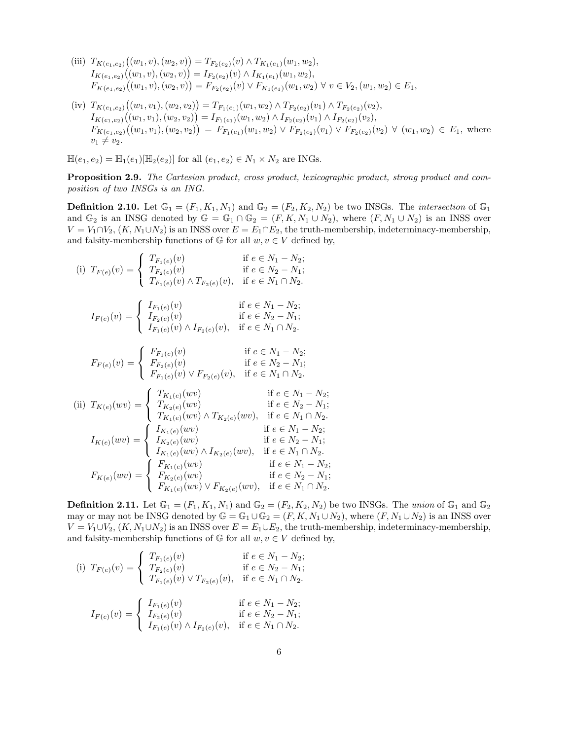- (iii)  $T_{K(e_1,e_2)}((w_1,v),(w_2,v)) = T_{F_2(e_2)}(v) \wedge T_{K_1(e_1)}(w_1,w_2),$  $I_{K(e_1,e_2)}((w_1,v),(w_2,v)) = I_{F_2(e_2)}(v) \wedge I_{K_1(e_1)}(w_1,w_2),$  $F_{K(e_1,e_2)}((w_1,v),(w_2,v)) = F_{F_2(e_2)}(v) \vee F_{K_1(e_1)}(w_1,w_2) \forall v \in V_2, (w_1,w_2) \in E_1,$
- (iv)  $T_{K(e_1,e_2)}((w_1,v_1),(w_2,v_2)) = T_{F_1(e_1)}(w_1,w_2) \wedge T_{F_2(e_2)}(v_1) \wedge T_{F_2(e_2)}(v_2),$  $I_{K(e_1,e_2)}((w_1,v_1),(w_2,v_2)) = I_{F_1(e_1)}(w_1,w_2) \wedge I_{F_2(e_2)}(v_1) \wedge I_{F_2(e_2)}(v_2),$  $F_{K(e_1,e_2)}((w_1,v_1),(w_2,v_2)) = F_{F_1(e_1)}(w_1,w_2) \vee F_{F_2(e_2)}(v_1) \vee F_{F_2(e_2)}(v_2) \forall (w_1,w_2) \in E_1$ , where  $v_1 \neq v_2$ .

 $\mathbb{H}(e_1, e_2) = \mathbb{H}_1(e_1)[\mathbb{H}_2(e_2)]$  for all  $(e_1, e_2) \in N_1 \times N_2$  are INGs.

Proposition 2.9. The Cartesian product, cross product, lexicographic product, strong product and composition of two INSGs is an ING.

**Definition 2.10.** Let  $\mathbb{G}_1 = (F_1, K_1, N_1)$  and  $\mathbb{G}_2 = (F_2, K_2, N_2)$  be two INSGs. The *intersection* of  $\mathbb{G}_1$ and  $\mathbb{G}_2$  is an INSG denoted by  $\mathbb{G} = \mathbb{G}_1 \cap \mathbb{G}_2 = (F, K, N_1 \cup N_2)$ , where  $(F, N_1 \cup N_2)$  is an INSS over  $V = V_1 \cap V_2$ ,  $(K, N_1 \cup N_2)$  is an INSS over  $E = E_1 \cap E_2$ , the truth-membership, indeterminacy-membership, and falsity-membership functions of  $\mathbb G$  for all  $w, v \in V$  defined by,

(i) 
$$
T_{F(e)}(v) = \begin{cases} T_{F_1(e)}(v) & \text{if } e \in N_1 - N_2; \\ T_{F_2(e)}(v) & \text{if } e \in N_2 - N_1; \end{cases}
$$
  
\n $I_{F(e)}(v) = \begin{cases} I_{F_1(e)}(v) \wedge T_{F_2(e)}(v), & \text{if } e \in N_1 \cap N_2. \\ I_{F_2(e)}(v) & \text{if } e \in N_1 - N_2; \end{cases}$   
\n $I_{F(e)}(v) = \begin{cases} I_{F_1(e)}(v) & \text{if } e \in N_2 - N_1; \\ I_{F_1(e)}(v) \wedge I_{F_2(e)}(v), & \text{if } e \in N_1 \cap N_2. \end{cases}$   
\n $F_{F(e)}(v) = \begin{cases} F_{F_1(e)}(v) & \text{if } e \in N_1 - N_2; \\ F_{F_2(e)}(v) & \text{if } e \in N_2 - N_1; \\ F_{F_1(e)}(v) \vee F_{F_2(e)}(v), & \text{if } e \in N_1 \cap N_2. \end{cases}$   
\n(ii)  $T_{K(e)}(wv) = \begin{cases} T_{K_1(e)}(wv) & \text{if } e \in N_1 - N_2; \\ T_{K_2(e)}(wv) & \text{if } e \in N_2 - N_1; \\ T_{K_1(e)}(wv) \wedge T_{K_2(e)}(wv), & \text{if } e \in N_1 - N_2; \\ I_{K_2(e)}(wv) & \text{if } e \in N_1 - N_2; \\ I_{K_1(e)}(wv) \wedge I_{K_2(e)}(wv), & \text{if } e \in N_1 \cap N_2. \end{cases}$   
\n $T_{K_1(e)}(wv) \wedge I_{K_2(e)}(wv), & \text{if } e \in N_1 \cap N_2. \end{cases}$ 

**Definition 2.11.** Let  $\mathbb{G}_1 = (F_1, K_1, N_1)$  and  $\mathbb{G}_2 = (F_2, K_2, N_2)$  be two INSGs. The union of  $\mathbb{G}_1$  and  $\mathbb{G}_2$ may or may not be INSG denoted by  $\mathbb{G} = \mathbb{G}_1 \cup \mathbb{G}_2 = (F, K, N_1 \cup N_2)$ , where  $(F, N_1 \cup N_2)$  is an INSS over  $V = V_1 \cup V_2$ ,  $(K, N_1 \cup N_2)$  is an INSS over  $E = E_1 \cup E_2$ , the truth-membership, indeterminacy-membership, and falsity-membership functions of  $\mathbb G$  for all  $w, v \in V$  defined by,

 $F_{K_2(e)}(wv)$  if  $e \in N_2 - N_1;$  $F_{K_1(e)}(wv) \vee F_{K_2(e)}(wv)$ , if  $e \in N_1 \cap N_2$ .

(i) 
$$
T_{F(e)}(v) = \begin{cases} T_{F_1(e)}(v) & \text{if } e \in N_1 - N_2; \\ T_{F_2(e)}(v) & \text{if } e \in N_2 - N_1; \\ T_{F_1(e)}(v) \vee T_{F_2(e)}(v), & \text{if } e \in N_1 \cap N_2. \end{cases}
$$
  
 $I_{F(e)}(v) = \begin{cases} I_{F_1(e)}(v) & \text{if } e \in N_1 - N_2; \\ I_{F_2(e)}(v) & \text{if } e \in N_2 - N_1; \\ I_{F_1(e)}(v) \wedge I_{F_2(e)}(v), & \text{if } e \in N_1 \cap N_2. \end{cases}$ 

 $F_{K(e)}(wv) =$ 

 $\left| \right|$  $\mathcal{L}$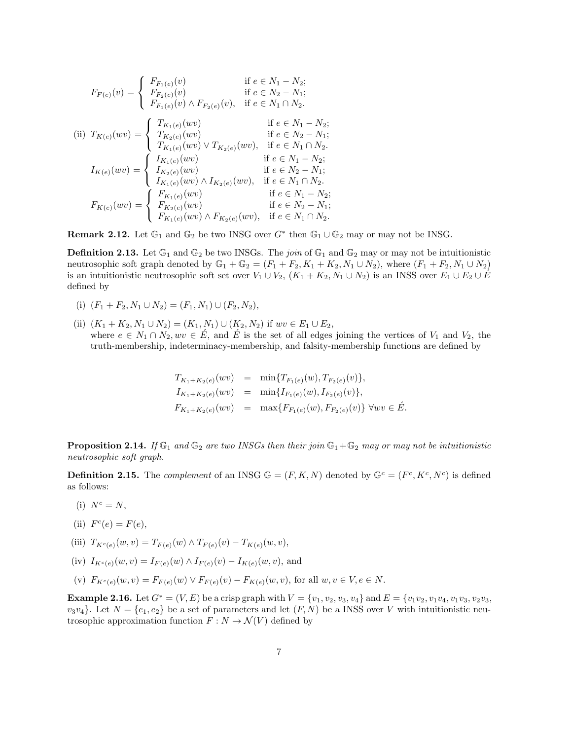$$
F_{F(e)}(v) = \begin{cases} F_{F_1(e)}(v) & \text{if } e \in N_1 - N_2; \\ F_{F_2(e)}(v) & \text{if } e \in N_2 - N_1; \end{cases}
$$
  
\n(ii) 
$$
T_{K(e)}(wv) = \begin{cases} T_{K_1(e)}(wv) \wedge F_{F_2(e)}(v), & \text{if } e \in N_1 \cap N_2. \\ T_{K_2(e)}(wv) & \text{if } e \in N_1 - N_2; \end{cases}
$$
  
\n
$$
I_{K(e)}(wv) = \begin{cases} T_{K_1(e)}(wv) & \text{if } e \in N_2 - N_1; \\ T_{K_1(e)}(wv) \vee T_{K_2(e)}(wv), & \text{if } e \in N_1 \cap N_2. \end{cases}
$$
  
\n
$$
I_{K(e)}(wv) = \begin{cases} I_{K_1(e)}(wv) & \text{if } e \in N_1 - N_2; \\ I_{K_2(e)}(wv) & \text{if } e \in N_2 - N_1; \\ I_{K_1(e)}(wv) \wedge I_{K_2(e)}(wv), & \text{if } e \in N_1 \cap N_2. \end{cases}
$$
  
\n
$$
F_{K(e)}(wv) = \begin{cases} F_{K_1(e)}(wv) & \text{if } e \in N_1 - N_2; \\ F_{K_2(e)}(wv) & \text{if } e \in N_2 - N_1; \\ F_{K_1(e)}(wv) \wedge F_{K_2(e)}(wv), & \text{if } e \in N_1 \cap N_2. \end{cases}
$$

**Remark 2.12.** Let  $\mathbb{G}_1$  and  $\mathbb{G}_2$  be two INSG over  $G^*$  then  $\mathbb{G}_1 \cup \mathbb{G}_2$  may or may not be INSG.

**Definition 2.13.** Let  $\mathbb{G}_1$  and  $\mathbb{G}_2$  be two INSGs. The join of  $\mathbb{G}_1$  and  $\mathbb{G}_2$  may or may not be intuitionistic neutrosophic soft graph denoted by  $\mathbb{G}_1 + \mathbb{G}_2 = (F_1 + F_2, K_1 + K_2, N_1 \cup N_2)$ , where  $(F_1 + F_2, N_1 \cup N_2)$ is an intuitionistic neutrosophic soft set over  $V_1 \cup V_2$ ,  $(K_1 + K_2, N_1 \cup N_2)$  is an INSS over  $E_1 \cup E_2 \cup E'_2$ defined by

- (i)  $(F_1 + F_2, N_1 \cup N_2) = (F_1, N_1) \cup (F_2, N_2),$
- (ii)  $(K_1 + K_2, N_1 \cup N_2) = (K_1, N_1) \cup (K_2, N_2)$  if  $wv \in E_1 \cup E_2$ , where  $e \in N_1 \cap N_2, wv \in E$ , and  $E'$  is the set of all edges joining the vertices of  $V_1$  and  $V_2$ , the truth-membership, indeterminacy-membership, and falsity-membership functions are defined by

$$
T_{K_1+K_2(e)}(wv) = \min\{T_{F_1(e)}(w), T_{F_2(e)}(v)\},
$$
  
\n
$$
I_{K_1+K_2(e)}(wv) = \min\{I_{F_1(e)}(w), I_{F_2(e)}(v)\},
$$
  
\n
$$
F_{K_1+K_2(e)}(wv) = \max\{F_{F_1(e)}(w), F_{F_2(e)}(v)\} \forall wv \in \mathring{E}.
$$

**Proposition 2.14.** If  $\mathbb{G}_1$  and  $\mathbb{G}_2$  are two INSGs then their join  $\mathbb{G}_1 + \mathbb{G}_2$  may or may not be intuitionistic neutrosophic soft graph.

**Definition 2.15.** The *complement* of an INSG  $\mathbb{G} = (F, K, N)$  denoted by  $\mathbb{G}^c = (F^c, K^c, N^c)$  is defined as follows:

- (i)  $N^c = N$ ,
- (ii)  $F^c(e) = F(e)$ ,
- (iii)  $T_{K^c(e)}(w, v) = T_{F(e)}(w) \wedge T_{F(e)}(v) T_{K(e)}(w, v),$
- (iv)  $I_{K^c(e)}(w, v) = I_{F(e)}(w) \wedge I_{F(e)}(v) I_{K(e)}(w, v)$ , and
- (v)  $F_{K^c(e)}(w, v) = F_{F(e)}(w) \vee F_{F(e)}(v) F_{K(e)}(w, v)$ , for all  $w, v \in V, e \in N$ .

**Example 2.16.** Let  $G^* = (V, E)$  be a crisp graph with  $V = \{v_1, v_2, v_3, v_4\}$  and  $E = \{v_1v_2, v_1v_4, v_1v_3, v_2v_3, v_3v_4\}$  $v_3v_4$ . Let  $N = \{e_1, e_2\}$  be a set of parameters and let  $(F, N)$  be a INSS over V with intuitionistic neutrosophic approximation function  $F : N \to \mathcal{N}(V)$  defined by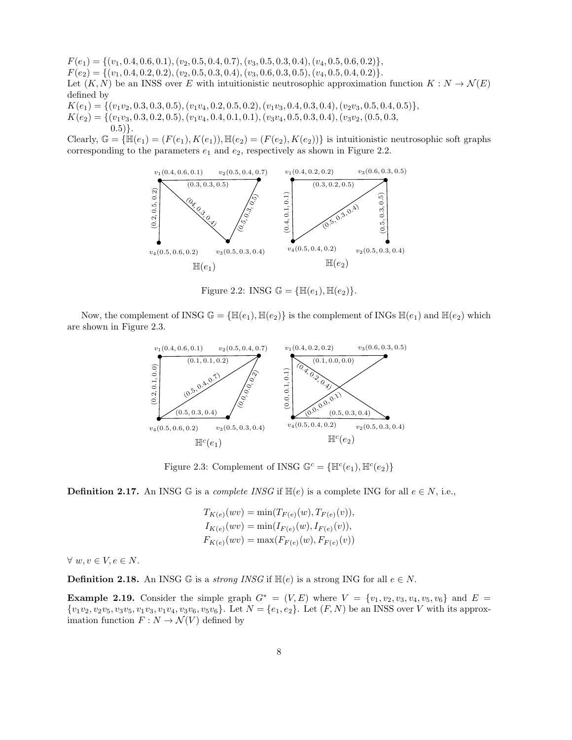$F(e_1) = \{(v_1, 0.4, 0.6, 0.1), (v_2, 0.5, 0.4, 0.7), (v_3, 0.5, 0.3, 0.4), (v_4, 0.5, 0.6, 0.2)\},\$  $F(e_2) = \{(v_1, 0.4, 0.2, 0.2), (v_2, 0.5, 0.3, 0.4), (v_3, 0.6, 0.3, 0.5), (v_4, 0.5, 0.4, 0.2)\}.$ Let  $(K, N)$  be an INSS over E with intuitionistic neutrosophic approximation function  $K : N \to \mathcal{N}(E)$ defined by

 $K(e_1) = \{ (v_1v_2, 0.3, 0.3, 0.5), (v_1v_4, 0.2, 0.5, 0.2), (v_1v_3, 0.4, 0.3, 0.4), (v_2v_3, 0.5, 0.4, 0.5) \},\$ 

 $K(e_2) = \{(v_1v_3, 0.3, 0.2, 0.5), (v_1v_4, 0.4, 0.1, 0.1), (v_3v_4, 0.5, 0.3, 0.4), (v_3v_2, (0.5, 0.3,$  $(0.5)$ .

Clearly,  $\mathbb{G} = \{\mathbb{H}(e_1) = (F(e_1), K(e_1)), \mathbb{H}(e_2) = (F(e_2), K(e_2))\}$  is intuitionistic neutrosophic soft graphs corresponding to the parameters  $e_1$  and  $e_2$ , respectively as shown in Figure 2.2.



Figure 2.2: INSG  $\mathbb{G} = {\mathbb{H}(e_1), \mathbb{H}(e_2)}$ .

Now, the complement of INSG  $\mathbb{G} = {\{\mathbb{H}(e_1), \mathbb{H}(e_2)\}}$  is the complement of INGs  $\mathbb{H}(e_1)$  and  $\mathbb{H}(e_2)$  which are shown in Figure 2.3.



Figure 2.3: Complement of INSG  $\mathbb{G}^c = \{\mathbb{H}^c(e_1), \mathbb{H}^c(e_2)\}\$ 

**Definition 2.17.** An INSG  $\mathbb{G}$  is a *complete INSG* if  $\mathbb{H}(e)$  is a complete ING for all  $e \in N$ , i.e.,

$$
T_{K(e)}(wv) = \min(T_{F(e)}(w), T_{F(e)}(v)),
$$
  
\n
$$
I_{K(e)}(wv) = \min(I_{F(e)}(w), I_{F(e)}(v)),
$$
  
\n
$$
F_{K(e)}(wv) = \max(F_{F(e)}(w), F_{F(e)}(v))
$$

 $\forall w, v \in V, e \in N$ .

**Definition 2.18.** An INSG  $\mathbb{G}$  is a strong *INSG* if  $\mathbb{H}(e)$  is a strong ING for all  $e \in N$ .

Example 2.19. Consider the simple graph  $G^* = (V, E)$  where  $V = \{v_1, v_2, v_3, v_4, v_5, v_6\}$  and  $E =$  $\{v_1v_2, v_2v_5, v_3v_5, v_1v_3, v_1v_4, v_3v_6, v_5v_6\}$ . Let  $N = \{e_1, e_2\}$ . Let  $(F, N)$  be an INSS over V with its approximation function  $F : N \to \mathcal{N}(V)$  defined by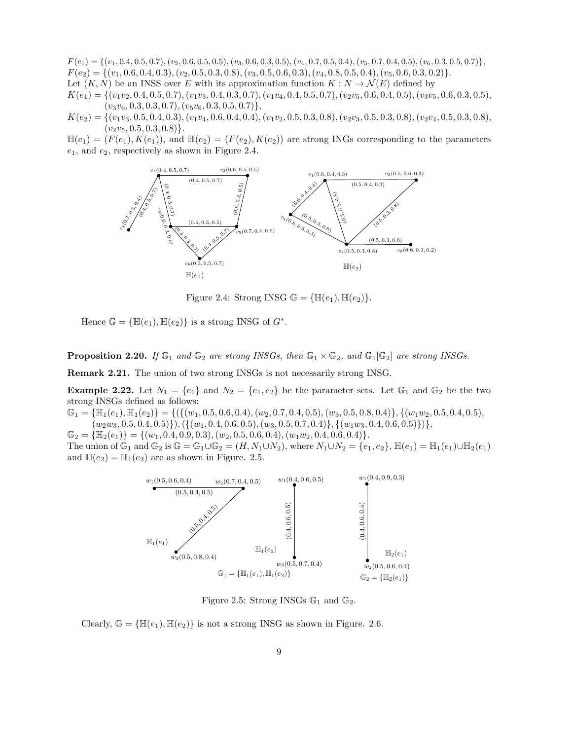$F(e_1) = \{(v_1, 0.4, 0.5, 0.7), (v_2, 0.6, 0.5, 0.5), (v_3, 0.6, 0.3, 0.5), (v_4, 0.7, 0.5, 0.4), (v_5, 0.7, 0.4, 0.5), (v_6, 0.3, 0.5, 0.7)\},\$  $F(e_2) = \{(v_1, 0.6, 0.4, 0.3), (v_2, 0.5, 0.3, 0.8), (v_3, 0.5, 0.6, 0.3), (v_4, 0.8, 0.5, 0.4), (v_5, 0.6, 0.3, 0.2)\}.$ Let  $(K, N)$  be an INSS over E with its approximation function  $K : N \to \mathcal{N}(E)$  defined by  $K(e_1) = \{(v_1v_2, 0.4, 0.5, 0.7), (v_1v_3, 0.4, 0.3, 0.7), (v_1v_4, 0.4, 0.5, 0.7), (v_2v_5, 0.6, 0.4, 0.5), (v_3v_5, 0.6, 0.3, 0.5),$  $(v_3v_6, 0.3, 0.3, 0.7), (v_5v_6, 0.3, 0.5, 0.7)\},$ 

 $K(e_2) = \{(v_1v_3, 0.5, 0.4, 0.3), (v_1v_4, 0.6, 0.4, 0.4), (v_1v_2, 0.5, 0.3, 0.8), (v_2v_3, 0.5, 0.3, 0.8), (v_2v_4, 0.5, 0.3, 0.8),$  $(v_2v_5, 0.5, 0.3, 0.8)$ .

 $\mathbb{H}(e_1) = (F(e_1), K(e_1)),$  and  $\mathbb{H}(e_2) = (F(e_2), K(e_2))$  are strong INGs corresponding to the parameters  $e_1$ , and  $e_2$ , respectively as shown in Figure 2.4.



Figure 2.4: Strong INSG  $\mathbb{G} = {\mathbb{H}(e_1), \mathbb{H}(e_2)}$ .

Hence  $\mathbb{G} = {\mathbb{H}(e_1), \mathbb{H}(e_2)}$  is a strong INSG of  $G^*$ .

**Proposition 2.20.** If  $\mathbb{G}_1$  and  $\mathbb{G}_2$  are strong INSGs, then  $\mathbb{G}_1 \times \mathbb{G}_2$ , and  $\mathbb{G}_1[\mathbb{G}_2]$  are strong INSGs.

Remark 2.21. The union of two strong INSGs is not necessarily strong INSG.

**Example 2.22.** Let  $N_1 = \{e_1\}$  and  $N_2 = \{e_1, e_2\}$  be the parameter sets. Let  $\mathbb{G}_1$  and  $\mathbb{G}_2$  be the two strong INSGs defined as follows:

 $\mathbb{G}_1 = {\mathbb{H}}_1(e_1), \mathbb{H}_1(e_2) = {\{(\{(w_1, 0.5, 0.6, 0.4), (w_2, 0.7, 0.4, 0.5), (w_3, 0.5, 0.8, 0.4)\}, \{(w_1w_2, 0.5, 0.4, 0.5), (w_2, 0.7, 0.4, 0.5), (w_3, 0.5, 0.8, 0.4)\}}$  $(w_2w_3, 0.5, 0.4, 0.5)\}, (\{(w_1, 0.4, 0.6, 0.5), (w_3, 0.5, 0.7, 0.4)\}, \{(w_1w_3, 0.4, 0.6, 0.5)\})$ 

 $\mathbb{G}_2 = {\mathbb{H}_2(e_1)} = {(w_1, 0.4, 0.9, 0.3), (w_2, 0.5, 0.6, 0.4), (w_1w_2, 0.4, 0.6, 0.4)}.$ The union of  $\mathbb{G}_1$  and  $\mathbb{G}_2$  is  $\mathbb{G} = \mathbb{G}_1 \cup \mathbb{G}_2 = (H, N_1 \cup N_2)$ , where  $N_1 \cup N_2 = \{e_1, e_2\}$ ,  $\mathbb{H}(e_1) = \mathbb{H}_1(e_1) \cup \mathbb{H}_2(e_1)$ and  $\mathbb{H}(e_2) = \mathbb{H}_1(e_2)$  are as shown in Figure. 2.5.



Figure 2.5: Strong INSGs  $\mathbb{G}_1$  and  $\mathbb{G}_2$ .

Clearly,  $\mathbb{G} = {\mathbb{H}(e_1), \mathbb{H}(e_2)}$  is not a strong INSG as shown in Figure. 2.6.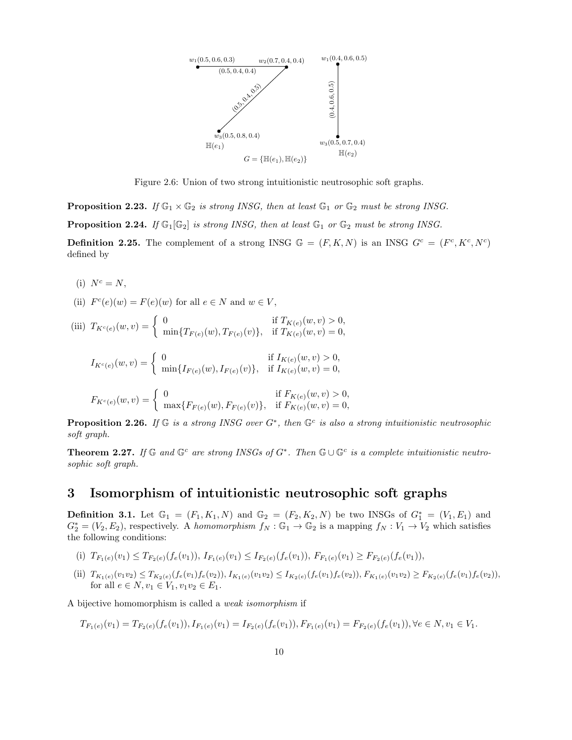

Figure 2.6: Union of two strong intuitionistic neutrosophic soft graphs.

**Proposition 2.23.** If  $\mathbb{G}_1 \times \mathbb{G}_2$  is strong INSG, then at least  $\mathbb{G}_1$  or  $\mathbb{G}_2$  must be strong INSG.

**Proposition 2.24.** If  $\mathbb{G}_1[\mathbb{G}_2]$  is strong INSG, then at least  $\mathbb{G}_1$  or  $\mathbb{G}_2$  must be strong INSG.

**Definition 2.25.** The complement of a strong INSG  $\mathbb{G} = (F, K, N)$  is an INSG  $G^c = (F^c, K^c, N^c)$ defined by

- (i)  $N^c = N$ ,
- (ii)  $F^c(e)(w) = F(e)(w)$  for all  $e \in N$  and  $w \in V$ ,
- (iii)  $T_{K^c(e)}(w, v) = \begin{cases} 0 & \text{if } T_{K(e)}(w, v) > 0, \\ \min\{T_{\tau(e)}(w), T_{\tau(e)}(v)\}, & \text{if } T_{\tau(e)}(w, v) = 0, \end{cases}$  $\min\{T_{F(e)}(w), T_{F(e)}(v)\}, \text{ if } T_{K(e)}(w, v) = 0,$  $I_{K^c(e)}(w, v) = \begin{cases} 0 & \text{if } I_{K(e)}(w, v) > 0, \\ \min_{I \subset \{w\}} I_{K(e)}(w, I_{K(e)}(w, v)) & \text{if } I_{K(e)}(w, v) = 0, \end{cases}$  $\min\{I_{F(e)}(w), I_{F(e)}(v)\}, \text{ if } I_{K(e)}(w, v) = 0,$

$$
F_{K^c(e)}(w,v) = \begin{cases} 0 & \text{if } F_{K(e)}(w,v) > 0, \\ \max\{F_{F(e)}(w), F_{F(e)}(v)\}, & \text{if } F_{K(e)}(w,v) = 0, \end{cases}
$$

**Proposition 2.26.** If  $\mathbb{G}$  is a strong INSG over  $G^*$ , then  $\mathbb{G}^c$  is also a strong intuitionistic neutrosophic soft graph.

**Theorem 2.27.** If  $\mathbb{G}$  and  $\mathbb{G}^c$  are strong INSGs of  $G^*$ . Then  $\mathbb{G} \cup \mathbb{G}^c$  is a complete intuitionistic neutrosophic soft graph.

### 3 Isomorphism of intuitionistic neutrosophic soft graphs

**Definition 3.1.** Let  $\mathbb{G}_1 = (F_1, K_1, N)$  and  $\mathbb{G}_2 = (F_2, K_2, N)$  be two INSGs of  $G_1^* = (V_1, E_1)$  and  $G_2^* = (V_2, E_2)$ , respectively. A homomorphism  $f_N : \mathbb{G}_1 \to \mathbb{G}_2$  is a mapping  $f_N : V_1 \to V_2$  which satisfies the following conditions:

- (i)  $T_{F_1(e)}(v_1) \leq T_{F_2(e)}(f_e(v_1)),$   $I_{F_1(e)}(v_1) \leq I_{F_2(e)}(f_e(v_1)),$   $F_{F_1(e)}(v_1) \geq F_{F_2(e)}(f_e(v_1)),$
- (ii)  $T_{K_1(e)}(v_1v_2) \leq T_{K_2(e)}(f_e(v_1)f_e(v_2)),$   $I_{K_1(e)}(v_1v_2) \leq I_{K_2(e)}(f_e(v_1)f_e(v_2)),$   $F_{K_1(e)}(v_1v_2) \geq F_{K_2(e)}(f_e(v_1)f_e(v_2)),$ for all  $e \in N$ ,  $v_1 \in V_1$ ,  $v_1v_2 \in E_1$ .

A bijective homomorphism is called a weak isomorphism if

$$
T_{F_1(e)}(v_1) = T_{F_2(e)}(f_e(v_1)), I_{F_1(e)}(v_1) = I_{F_2(e)}(f_e(v_1)), F_{F_1(e)}(v_1) = F_{F_2(e)}(f_e(v_1)), \forall e \in N, v_1 \in V_1.
$$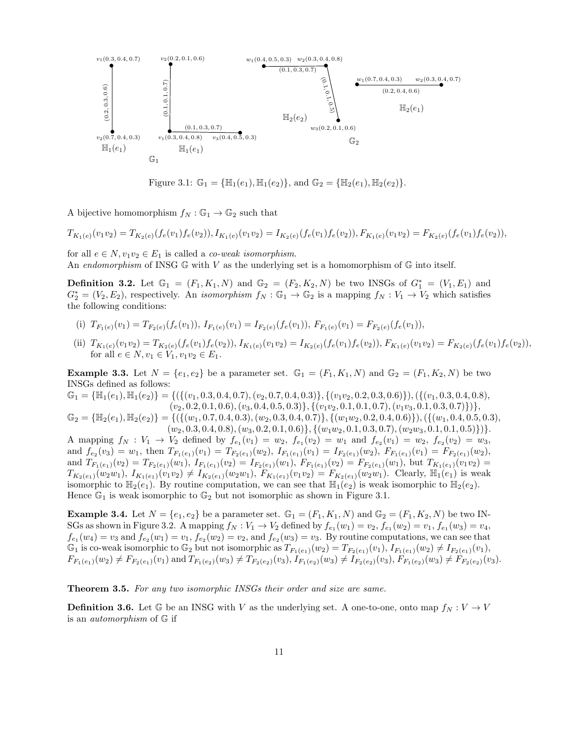

Figure 3.1:  $\mathbb{G}_1 = {\mathbb{H}_1(e_1), \mathbb{H}_1(e_2)}$ , and  $\mathbb{G}_2 = {\mathbb{H}_2(e_1), \mathbb{H}_2(e_2)}$ .

A bijective homomorphism  $f_N : \mathbb{G}_1 \to \mathbb{G}_2$  such that

$$
T_{K_1(e)}(v_1v_2)=T_{K_2(e)}(f_e(v_1)f_e(v_2)), I_{K_1(e)}(v_1v_2)=I_{K_2(e)}(f_e(v_1)f_e(v_2)), F_{K_1(e)}(v_1v_2)=F_{K_2(e)}(f_e(v_1)f_e(v_2)),
$$

for all  $e \in N$ ,  $v_1v_2 \in E_1$  is called a *co-weak isomorphism*.

An endomorphism of INSG  $\mathbb{G}$  with V as the underlying set is a homomorphism of  $\mathbb{G}$  into itself.

**Definition 3.2.** Let  $\mathbb{G}_1 = (F_1, K_1, N)$  and  $\mathbb{G}_2 = (F_2, K_2, N)$  be two INSGs of  $G_1^* = (V_1, E_1)$  and  $G_2^* = (V_2, E_2)$ , respectively. An *isomorphism*  $f_N : \mathbb{G}_1 \to \mathbb{G}_2$  is a mapping  $f_N : V_1 \to V_2$  which satisfies the following conditions:

(i) 
$$
T_{F_1(e)}(v_1) = T_{F_2(e)}(f_e(v_1)), I_{F_1(e)}(v_1) = I_{F_2(e)}(f_e(v_1)), F_{F_1(e)}(v_1) = F_{F_2(e)}(f_e(v_1)),
$$

(ii)  $T_{K_1(e)}(v_1v_2) = T_{K_2(e)}(f_e(v_1)f_e(v_2)), I_{K_1(e)}(v_1v_2) = I_{K_2(e)}(f_e(v_1)f_e(v_2)), F_{K_1(e)}(v_1v_2) = F_{K_2(e)}(f_e(v_1)f_e(v_2)),$ for all  $e \in N$ ,  $v_1 \in V_1$ ,  $v_1v_2 \in E_1$ .

**Example 3.3.** Let  $N = \{e_1, e_2\}$  be a parameter set.  $\mathbb{G}_1 = (F_1, K_1, N)$  and  $\mathbb{G}_2 = (F_1, K_2, N)$  be two INSGs defined as follows:

 $\mathbb{G}_1 = {\mathbb{H}}_1(e_1), \mathbb{H}_1(e_2) = {\{(\{(v_1, 0.3, 0.4, 0.7), (v_2, 0.7, 0.4, 0.3)\}, (\{(v_1v_2, 0.2, 0.3, 0.6)\})}, (\{(v_1, 0.3, 0.4, 0.8), (v_2, 0.7, 0.4, 0.8)\})}$  $(v_2, 0.2, 0.1, 0.6), (v_3, 0.4, 0.5, 0.3)\}, \{(v_1v_2, 0.1, 0.1, 0.7), (v_1v_3, 0.1, 0.3, 0.7)\}\},$ 

 $\mathbb{G}_2 = {\mathbb{H}_2(e_1), \mathbb{H}_2(e_2)} = {\{\{\{(w_1, 0.7, 0.4, 0.3), (w_2, 0.3, 0.4, 0.7)\}, \{(w_1w_2, 0.2, 0.4, 0.6)\}\}, (\{(w_1, 0.4, 0.5, 0.3), (w_2, 0.3, 0.4, 0.7)\}$  $(w_2, 0.3, 0.4, 0.8), (w_3, 0.2, 0.1, 0.6)\}, \{(w_1w_2, 0.1, 0.3, 0.7), (w_2w_3, 0.1, 0.1, 0.5)\})$ 

A mapping  $f_N: V_1 \to V_2$  defined by  $f_{e_1}(v_1) = w_2$ ,  $f_{e_1}(v_2) = w_1$  and  $f_{e_2}(v_1) = w_2$ ,  $f_{e_2}(v_2) = w_3$ , and  $f_{e_2}(v_3) = w_1$ , then  $T_{F_1(e_1)}(v_1) = T_{F_2(e_1)}(w_2)$ ,  $I_{F_1(e_1)}(v_1) = I_{F_2(e_1)}(w_2)$ ,  $F_{F_1(e_1)}(v_1) = F_{F_2(e_1)}(w_2)$ , and  $T_{F_1(e_1)}(v_2) = T_{F_2(e_1)}(w_1), T_{F_1(e_1)}(v_2) = T_{F_2(e_1)}(w_1), F_{F_1(e_1)}(v_2) = F_{F_2(e_1)}(w_1),$  but  $T_{K_1(e_1)}(v_1v_2) =$  $T_{K_2(e_1)}(w_2w_1), T_{K_1(e_1)}(v_1v_2) \neq T_{K_2(e_1)}(w_2w_1), T_{K_1(e_1)}(v_1v_2) = F_{K_2(e_1)}(w_2w_1)$ . Clearly,  $\mathbb{H}_1(e_1)$  is weak isomorphic to  $\mathbb{H}_2(e_1)$ . By routine computation, we can see that  $\mathbb{H}_1(e_2)$  is weak isomorphic to  $\mathbb{H}_2(e_2)$ . Hence  $\mathbb{G}_1$  is weak isomorphic to  $\mathbb{G}_2$  but not isomorphic as shown in Figure 3.1.

**Example 3.4.** Let  $N = \{e_1, e_2\}$  be a parameter set.  $\mathbb{G}_1 = (F_1, K_1, N)$  and  $\mathbb{G}_2 = (F_1, K_2, N)$  be two IN-SGs as shown in Figure 3.2. A mapping  $f_N: V_1 \to V_2$  defined by  $f_{e_1}(w_1) = v_2, f_{e_1}(w_2) = v_1, f_{e_1}(w_3) = v_4$ ,  $f_{e_1}(w_4) = v_3$  and  $f_{e_2}(w_1) = v_1$ ,  $f_{e_2}(w_2) = v_2$ , and  $f_{e_2}(w_3) = v_3$ . By routine computations, we can see that  $\mathbb{G}_1$  is co-weak isomorphic to  $\mathbb{G}_2$  but not isomorphic as  $T_{F_1(e_1)}(w_2) = T_{F_2(e_1)}(v_1)$ ,  $I_{F_1(e_1)}(w_2) \neq I_{F_2(e_1)}(v_1)$ ,  $F_{F_1(e_1)}(w_2) \neq F_{F_2(e_1)}(v_1)$  and  $T_{F_1(e_2)}(w_3) \neq T_{F_2(e_2)}(v_3)$ ,  $I_{F_1(e_2)}(w_3) \neq I_{F_2(e_2)}(v_3)$ ,  $F_{F_1(e_2)}(w_3) \neq F_{F_2(e_2)}(v_3)$ .

**Theorem 3.5.** For any two isomorphic INSGs their order and size are same.

**Definition 3.6.** Let G be an INSG with V as the underlying set. A one-to-one, onto map  $f_N : V \to V$ is an automorphism of G if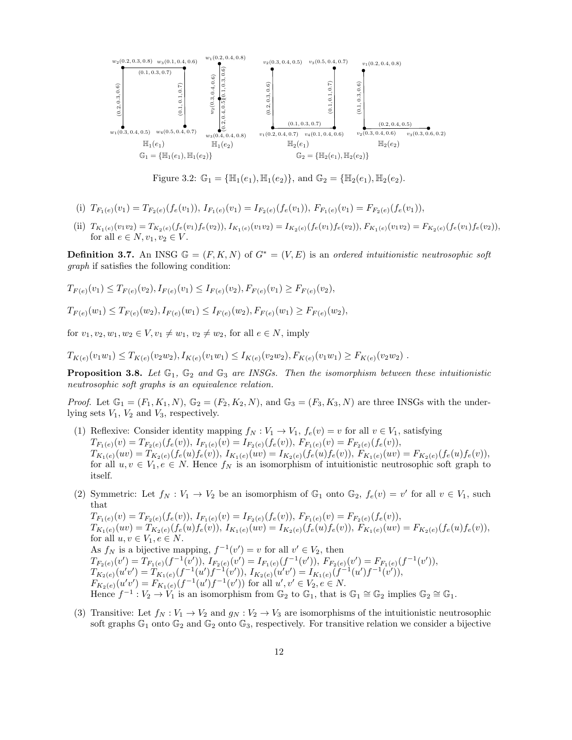

Figure 3.2:  $\mathbb{G}_1 = {\mathbb{H}_1(e_1), \mathbb{H}_1(e_2)}$ , and  $\mathbb{G}_2 = {\mathbb{H}_2(e_1), \mathbb{H}_2(e_2)}$ .

- (i)  $T_{F_1(e)}(v_1) = T_{F_2(e)}(f_e(v_1)),$   $I_{F_1(e)}(v_1) = I_{F_2(e)}(f_e(v_1)),$   $F_{F_1(e)}(v_1) = F_{F_2(e)}(f_e(v_1)),$
- (ii)  $T_{K_1(e)}(v_1v_2) = T_{K_2(e)}(f_e(v_1)f_e(v_2)), I_{K_1(e)}(v_1v_2) = I_{K_2(e)}(f_e(v_1)f_e(v_2)), F_{K_1(e)}(v_1v_2) = F_{K_2(e)}(f_e(v_1)f_e(v_2)),$ for all  $e \in N$ ,  $v_1, v_2 \in V$ .

**Definition 3.7.** An INSG  $\mathbb{G} = (F, K, N)$  of  $G^* = (V, E)$  is an ordered intuitionistic neutrosophic soft graph if satisfies the following condition:

$$
T_{F(e)}(v_1) \leq T_{F(e)}(v_2), I_{F(e)}(v_1) \leq I_{F(e)}(v_2), F_{F(e)}(v_1) \geq F_{F(e)}(v_2),
$$

$$
T_{F(e)}(w_1) \leq T_{F(e)}(w_2), I_{F(e)}(w_1) \leq I_{F(e)}(w_2), F_{F(e)}(w_1) \geq F_{F(e)}(w_2),
$$

for  $v_1, v_2, w_1, w_2 \in V, v_1 \neq w_1, v_2 \neq w_2$ , for all  $e \in N$ , imply

 $T_{K(e)}(v_1w_1) \leq T_{K(e)}(v_2w_2), I_{K(e)}(v_1w_1) \leq I_{K(e)}(v_2w_2), F_{K(e)}(v_1w_1) \geq F_{K(e)}(v_2w_2)$ .

**Proposition 3.8.** Let  $\mathbb{G}_1$ ,  $\mathbb{G}_2$  and  $\mathbb{G}_3$  are INSGs. Then the isomorphism between these intuitionistic neutrosophic soft graphs is an equivalence relation.

*Proof.* Let  $\mathbb{G}_1 = (F_1, K_1, N), \mathbb{G}_2 = (F_2, K_2, N),$  and  $\mathbb{G}_3 = (F_3, K_3, N)$  are three INSGs with the underlying sets  $V_1$ ,  $V_2$  and  $V_3$ , respectively.

- (1) Reflexive: Consider identity mapping  $f_N : V_1 \to V_1$ ,  $f_e(v) = v$  for all  $v \in V_1$ , satisfying  $T_{F_1(e)}(v) = T_{F_2(e)}(f_e(v)),\ I_{F_1(e)}(v) = I_{F_2(e)}(f_e(v)),\ F_{F_1(e)}(v) = F_{F_2(e)}(f_e(v)),$  $T_{K_1(e)}(uv) = T_{K_2(e)}(f_e(u)f_e(v)),\ I_{K_1(e)}(uv) = I_{K_2(e)}(f_e(u)f_e(v)),\ F_{K_1(e)}(uv) = F_{K_2(e)}(f_e(u)f_e(v)),$ for all  $u, v \in V_1, e \in N$ . Hence  $f_N$  is an isomorphism of intuitionistic neutrosophic soft graph to itself.
- (2) Symmetric: Let  $f_N : V_1 \to V_2$  be an isomorphism of  $\mathbb{G}_1$  onto  $\mathbb{G}_2$ ,  $f_e(v) = v'$  for all  $v \in V_1$ , such that

 $T_{F_1(e)}(v) = T_{F_2(e)}(f_e(v)),\ I_{F_1(e)}(v) = I_{F_2(e)}(f_e(v)),\ F_{F_1(e)}(v) = F_{F_2(e)}(f_e(v)),$  $T_{K_1(e)}(uv) = T_{K_2(e)}(f_e(u)f_e(v)),\ I_{K_1(e)}(uv) = I_{K_2(e)}(f_e(u)f_e(v)),\ F_{K_1(e)}(uv) = F_{K_2(e)}(f_e(u)f_e(v)),$ for all  $u, v \in V_1, e \in N$ . As  $f_N$  is a bijective mapping,  $f^{-1}(v') = v$  for all  $v' \in V_2$ , then  $T_{F_2(e)}(v') = T_{F_1(e)}(f^{-1}(v')),$   $I_{F_2(e)}(v') = I_{F_1(e)}(f^{-1}(v')),$   $F_{F_2(e)}(v') = F_{F_1(e)}(f^{-1}(v')),$  $T_{K_2(e)}(u'v') = \hat{T}_{K_1(e)}(f^{-1}(u')f^{-1}(v')), I_{K_2(e)}(u'v') = I_{K_1(e)}(\hat{f}^{-1}(u')f^{-1}(v')),$  $F_{K_2(e)}(u'v') = F_{K_1(e)}(f^{-1}(u')f^{-1}(v'))$  for all  $u', v' \in V_2, e \in N$ . Hence  $f^{-1}: V_2 \to V_1$  is an isomorphism from  $\mathbb{G}_2$  to  $\mathbb{G}_1$ , that is  $\mathbb{G}_1 \cong \mathbb{G}_2$  implies  $\mathbb{G}_2 \cong \mathbb{G}_1$ .

(3) Transitive: Let  $f_N : V_1 \to V_2$  and  $g_N : V_2 \to V_3$  are isomorphisms of the intuitionistic neutrosophic soft graphs  $\mathbb{G}_1$  onto  $\mathbb{G}_2$  and  $\mathbb{G}_2$  onto  $\mathbb{G}_3$ , respectively. For transitive relation we consider a bijective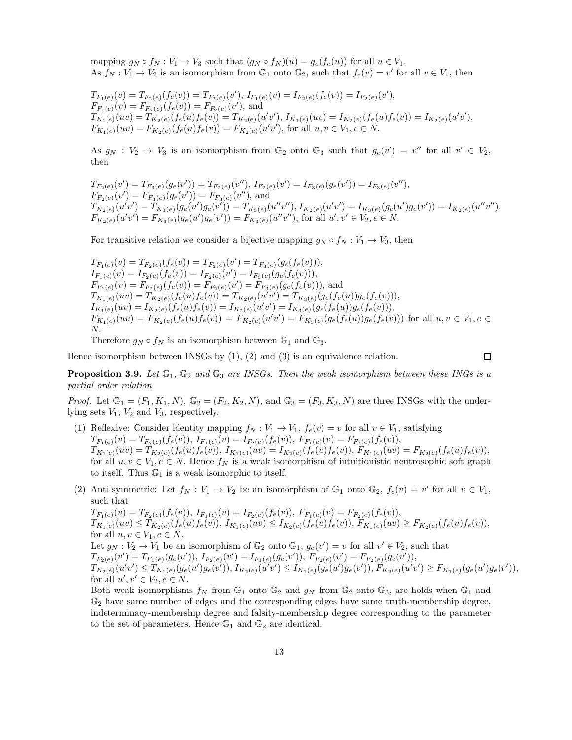mapping  $g_N \circ f_N : V_1 \to V_3$  such that  $(g_N \circ f_N)(u) = g_e(f_e(u))$  for all  $u \in V_1$ . As  $f_N : V_1 \to V_2$  is an isomorphism from  $\mathbb{G}_1$  onto  $\mathbb{G}_2$ , such that  $f_e(v) = v'$  for all  $v \in V_1$ , then

 $T_{F_1(e)}(v) = T_{F_2(e)}(f_e(v)) = T_{F_2(e)}(v'),$   $I_{F_1(e)}(v) = I_{F_2(e)}(f_e(v)) = I_{F_2(e)}(v'),$  $F_{F_1(e)}(v) = F_{F_2(e)}(f_e(v)) = F_{F_2(e)}(v'),$  and  $T_{K_1(e)}(uv) = T_{K_2(e)}(f_e(u)f_e(v)) = T_{K_2(e)}(u'v'),\ I_{K_1(e)}(uv) = I_{K_2(e)}(f_e(u)f_e(v)) = I_{K_2(e)}(u'v'),$  $F_{K_1(e)}(uv) = F_{K_2(e)}(f_e(u) f_e(v)) = F_{K_2(e)}(u'v'),$  for all  $u, v \in V_1, e \in N$ .

As  $g_N : V_2 \to V_3$  is an isomorphism from  $\mathbb{G}_2$  onto  $\mathbb{G}_3$  such that  $g_e(v') = v''$  for all  $v' \in V_2$ , then

 $T_{F_2(e)}(v') = T_{F_3(e)}(g_e(v')) = T_{F_2(e)}(v''),$   $I_{F_2(e)}(v') = I_{F_3(e)}(g_e(v')) = I_{F_3(e)}(v''),$  $F_{F_2(e)}(v') = F_{F_3(e)}(g_e(v')) = F_{F_3(e)}(v'')$ , and  $T^{(2)}_{K_2(e)}(u'v')=\widetilde{T}^{(2)}_{K_3(e)}(g_e(u')g_e(v'))=T_{K_3(e)}(u''v''), I_{K_2(e)}(u'v')=I_{K_3(e)}(g_e(u')g_e(v'))=I_{K_2(e)}(u''v''),$  $F_{K_2(e)}(u'v') = F_{K_3(e)}(g_e(u')g_e(v')) = F_{K_3(e)}(u''v'')$ , for all  $u', v' \in V_2, e \in N$ .

For transitive relation we consider a bijective mapping  $g_N \circ f_N : V_1 \to V_3$ , then

$$
T_{F_1(e)}(v) = T_{F_2(e)}(f_e(v)) = T_{F_2(e)}(v') = T_{F_3(e)}(g_e(f_e(v))),
$$
  
\n
$$
I_{F_1(e)}(v) = I_{F_2(e)}(f_e(v)) = I_{F_2(e)}(v') = I_{F_3(e)}(g_e(f_e(v))),
$$
  
\n
$$
F_{F_1(e)}(v) = F_{F_2(e)}(f_e(v)) = F_{F_2(e)}(v') = F_{F_3(e)}(g_e(f_e(v))),
$$
 and  
\n
$$
T_{K_1(e)}(uv) = T_{K_2(e)}(f_e(u)f_e(v)) = T_{K_2(e)}(u'v') = T_{K_3(e)}(g_e(f_e(u))g_e(f_e(v))),
$$
  
\n
$$
I_{K_1(e)}(uv) = I_{K_2(e)}(f_e(u)f_e(v)) = I_{K_2(e)}(u'v') = I_{K_3(e)}(g_e(f_e(u))g_e(f_e(v))),
$$
  
\n
$$
F_{K_1(e)}(uv) = F_{K_2(e)}(f_e(u)f_e(v)) = F_{K_2(e)}(u'v') = F_{K_3(e)}(g_e(f_e(u))g_e(f_e(v)))
$$
 for all  $u, v \in V_1, e \in N$ .

Therefore  $q_N \circ f_N$  is an isomorphism between  $\mathbb{G}_1$  and  $\mathbb{G}_3$ .

Hence isomorphism between INSGs by  $(1)$ ,  $(2)$  and  $(3)$  is an equivalence relation.

 $\Box$ 

**Proposition 3.9.** Let  $\mathbb{G}_1$ ,  $\mathbb{G}_2$  and  $\mathbb{G}_3$  are INSGs. Then the weak isomorphism between these INGs is a partial order relation

*Proof.* Let  $\mathbb{G}_1 = (F_1, K_1, N)$ ,  $\mathbb{G}_2 = (F_2, K_2, N)$ , and  $\mathbb{G}_3 = (F_3, K_3, N)$  are three INSGs with the underlying sets  $V_1$ ,  $V_2$  and  $V_3$ , respectively.

- (1) Reflexive: Consider identity mapping  $f_N : V_1 \to V_1$ ,  $f_e(v) = v$  for all  $v \in V_1$ , satisfying  $T_{F_1(e)}(v) = T_{F_2(e)}(f_e(v)),$   $I_{F_1(e)}(v) = I_{F_2(e)}(f_e(v)),$   $F_{F_1(e)}(v) = F_{F_2(e)}(f_e(v)),$  $T_{K_1(e)}(uv) = T_{K_2(e)}(f_e(u)f_e(v)),$   $I_{K_1(e)}(uv) = I_{K_2(e)}(f_e(u)f_e(v)),$   $F_{K_1(e)}(uv) = F_{K_2(e)}(f_e(u)f_e(v)),$ for all  $u, v \in V_1, e \in N$ . Hence  $f_N$  is a weak isomorphism of intuitionistic neutrosophic soft graph to itself. Thus  $\mathbb{G}_1$  is a weak isomorphic to itself.
- (2) Anti symmetric: Let  $f_N : V_1 \to V_2$  be an isomorphism of  $\mathbb{G}_1$  onto  $\mathbb{G}_2$ ,  $f_e(v) = v'$  for all  $v \in V_1$ , such that

 $T_{F_1(e)}(v) = T_{F_2(e)}(f_e(v)),$   $I_{F_1(e)}(v) = I_{F_2(e)}(f_e(v)),$   $F_{F_1(e)}(v) = F_{F_2(e)}(f_e(v)),$  $T_{K_1(e)}(uv) \leq T_{K_2(e)}(f_e(u)f_e(v)),$   $I_{K_1(e)}(uv) \leq I_{K_2(e)}(f_e(u)f_e(v)),$   $F_{K_1(e)}(uv) \geq F_{K_2(e)}(f_e(u)f_e(v)),$ for all  $u, v \in V_1, e \in N$ . Let  $g_N : V_2 \to V_1$  be an isomorphism of  $\mathbb{G}_2$  onto  $\mathbb{G}_1$ ,  $g_e(v') = v$  for all  $v' \in V_2$ , such that  $T_{F_2(e)}(v') = T_{F_1(e)}(g_e(v')), I_{F_2(e)}(v') = I_{F_1(e)}(g_e(v')), F_{F_2(e)}(v') = F_{F_2(e)}(g_e(v')),$  $T_{K_{2}(e)}(u'v')\leq T_{K_{1}(e)}(g_{e}(u')g_{e}(v')), I_{K_{2}(e)}(u'v')\leq I_{K_{1}(e)}(g_{e}(u')g_{e}(v')), F_{K_{2}(e)}(u'v')\geq F_{K_{1}(e)}(g_{e}(u')g_{e}(v')),$ for all  $u', v' \in V_2, e \in N$ .

Both weak isomorphisms  $f_N$  from  $\mathbb{G}_1$  onto  $\mathbb{G}_2$  and  $g_N$  from  $\mathbb{G}_2$  onto  $\mathbb{G}_3$ , are holds when  $\mathbb{G}_1$  and  $\mathbb{G}_2$  have same number of edges and the corresponding edges have same truth-membership degree, indeterminacy-membership degree and falsity-membership degree corresponding to the parameter to the set of parameters. Hence  $\mathbb{G}_1$  and  $\mathbb{G}_2$  are identical.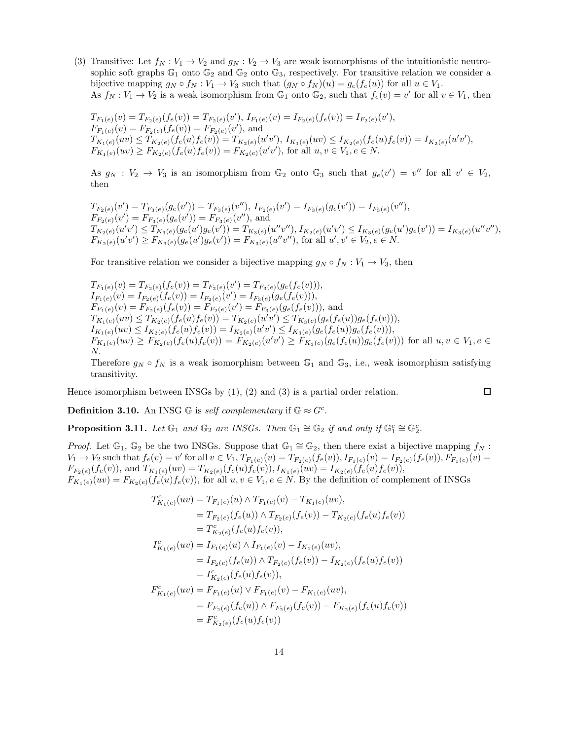(3) Transitive: Let  $f_N : V_1 \to V_2$  and  $g_N : V_2 \to V_3$  are weak isomorphisms of the intuitionistic neutrosophic soft graphs  $\mathbb{G}_1$  onto  $\mathbb{G}_2$  and  $\mathbb{G}_2$  onto  $\mathbb{G}_3$ , respectively. For transitive relation we consider a bijective mapping  $g_N \circ f_N : V_1 \to V_3$  such that  $(g_N \circ f_N)(u) = g_e(f_e(u))$  for all  $u \in V_1$ . As  $f_N: V_1 \to V_2$  is a weak isomorphism from  $\mathbb{G}_1$  onto  $\mathbb{G}_2$ , such that  $f_e(v) = v'$  for all  $v \in V_1$ , then

$$
T_{F_1(e)}(v) = T_{F_2(e)}(f_e(v)) = T_{F_2(e)}(v'), \ I_{F_1(e)}(v) = I_{F_2(e)}(f_e(v)) = I_{F_2(e)}(v'),
$$
  
\n
$$
F_{F_1(e)}(v) = F_{F_2(e)}(f_e(v)) = F_{F_2(e)}(v'),
$$
 and  
\n
$$
T_{K_1(e)}(uv) \le T_{K_2(e)}(f_e(u)f_e(v)) = T_{K_2(e)}(u'v'), \ I_{K_1(e)}(uv) \le I_{K_2(e)}(f_e(u)f_e(v)) = I_{K_2(e)}(u'v'),
$$
  
\n
$$
F_{K_1(e)}(uv) \ge F_{K_2(e)}(f_e(u)f_e(v)) = F_{K_2(e)}(u'v'),
$$
 for all  $u, v \in V_1, e \in N.$ 

As  $g_N : V_2 \to V_3$  is an isomorphism from  $\mathbb{G}_2$  onto  $\mathbb{G}_3$  such that  $g_e(v') = v''$  for all  $v' \in V_2$ , then

$$
T_{F_2(e)}(v') = T_{F_3(e)}(g_e(v')) = T_{F_3(e)}(v''), \ I_{F_2(e)}(v') = I_{F_3(e)}(g_e(v')) = I_{F_3(e)}(v''),
$$
  
\n
$$
F_{F_2(e)}(v') = F_{F_3(e)}(g_e(v')) = F_{F_3(e)}(v''),
$$
 and  
\n
$$
T_{K_2(e)}(u'v') \le T_{K_3(e)}(g_e(u')g_e(v')) = T_{K_3(e)}(u''v''), \ I_{K_2(e)}(u'v') \le I_{K_3(e)}(g_e(u')g_e(v')) = I_{K_3(e)}(u''v''),
$$
  
\n
$$
F_{K_2(e)}(u'v') \ge F_{K_3(e)}(g_e(u')g_e(v')) = F_{K_3(e)}(u''v''),
$$
 for all  $u', v' \in V_2, e \in N$ .

For transitive relation we consider a bijective mapping  $g_N \circ f_N : V_1 \to V_3$ , then

$$
T_{F_1(e)}(v) = T_{F_2(e)}(f_e(v)) = T_{F_2(e)}(v') = T_{F_3(e)}(g_e(f_e(v))),
$$
  
\n
$$
I_{F_1(e)}(v) = I_{F_2(e)}(f_e(v)) = I_{F_2(e)}(v') = I_{F_3(e)}(g_e(f_e(v))),
$$
  
\n
$$
F_{F_1(e)}(v) = F_{F_2(e)}(f_e(v)) = F_{F_2(e)}(v') = F_{F_3(e)}(g_e(f_e(v))),
$$
 and  
\n
$$
T_{K_1(e)}(uv) \le T_{K_2(e)}(f_e(u)f_e(v)) = T_{K_2(e)}(u'v') \le T_{K_3(e)}(g_e(f_e(u))g_e(f_e(v))),
$$
  
\n
$$
I_{K_1(e)}(uv) \le I_{K_2(e)}(f_e(u)f_e(v)) = I_{K_2(e)}(u'v') \le I_{K_3(e)}(g_e(f_e(u))g_e(f_e(v))),
$$
  
\n
$$
F_{K_1(e)}(uv) \ge F_{K_2(e)}(f_e(u)f_e(v)) = F_{K_2(e)}(u'v') \ge F_{K_3(e)}(g_e(f_e(u))g_e(f_e(v)))
$$
 for all  $u, v \in V_1, e \in N$ .

Therefore  $g_N \circ f_N$  is a weak isomorphism between  $\mathbb{G}_1$  and  $\mathbb{G}_3$ , i.e., weak isomorphism satisfying transitivity.

Hence isomorphism between INSGs by  $(1)$ ,  $(2)$  and  $(3)$  is a partial order relation.

$$
\Box
$$

**Definition 3.10.** An INSG  $\mathbb{G}$  is self complementary if  $\mathbb{G} \approx G^c$ .

**Proposition 3.11.** Let  $\mathbb{G}_1$  and  $\mathbb{G}_2$  are INSGs. Then  $\mathbb{G}_1 \cong \mathbb{G}_2$  if and only if  $\mathbb{G}_1^c \cong \mathbb{G}_2^c$ .

*Proof.* Let  $\mathbb{G}_1$ ,  $\mathbb{G}_2$  be the two INSGs. Suppose that  $\mathbb{G}_1 \cong \mathbb{G}_2$ , then there exist a bijective mapping  $f_N$ :  $V_1 \to V_2$  such that  $f_e(v) = v'$  for all  $v \in V_1$ ,  $T_{F_1(e)}(v) = T_{F_2(e)}(f_e(v))$ ,  $I_{F_1(e)}(v) = I_{F_2(e)}(f_e(v))$ ,  $F_{F_1(e)}(v) =$  $F_{F_2(e)}(f_e(v))$ , and  $T_{K_1(e)}(uv) = T_{K_2(e)}(f_e(u)f_e(v))$ ,  $I_{K_1(e)}(uv) = I_{K_2(e)}(f_e(u)f_e(v))$ ,  $F_{K_1(e)}(uv) = F_{K_2(e)}(f_e(u)f_e(v))$ , for all  $u, v \in V_1, e \in N$ . By the definition of complement of INSGs

$$
T_{K_1(e)}^c(uv) = T_{F_1(e)}(u) \wedge T_{F_1(e)}(v) - T_{K_1(e)}(uv),
$$
  
\n
$$
= T_{F_2(e)}(f_e(u)) \wedge T_{F_2(e)}(f_e(v)) - T_{K_2(e)}(f_e(u)f_e(v))
$$
  
\n
$$
= T_{K_2(e)}^c(f_e(u)f_e(v)),
$$
  
\n
$$
I_{K_1(e)}^c(uv) = I_{F_1(e)}(u) \wedge I_{F_1(e)}(v) - I_{K_1(e)}(uv),
$$
  
\n
$$
= I_{F_2(e)}(f_e(u)) \wedge T_{F_2(e)}(f_e(v)) - I_{K_2(e)}(f_e(u)f_e(v))
$$
  
\n
$$
= I_{K_2(e)}^c(f_e(u)f_e(v)),
$$
  
\n
$$
F_{K_1(e)}^c(uv) = F_{F_1(e)}(u) \vee F_{F_1(e)}(v) - F_{K_1(e)}(uv),
$$
  
\n
$$
= F_{F_2(e)}^c(f_e(u)) \wedge F_{F_2(e)}(f_e(v)) - F_{K_2(e)}(f_e(u)f_e(v))
$$
  
\n
$$
= F_{K_2(e)}^c(f_e(u)f_e(v))
$$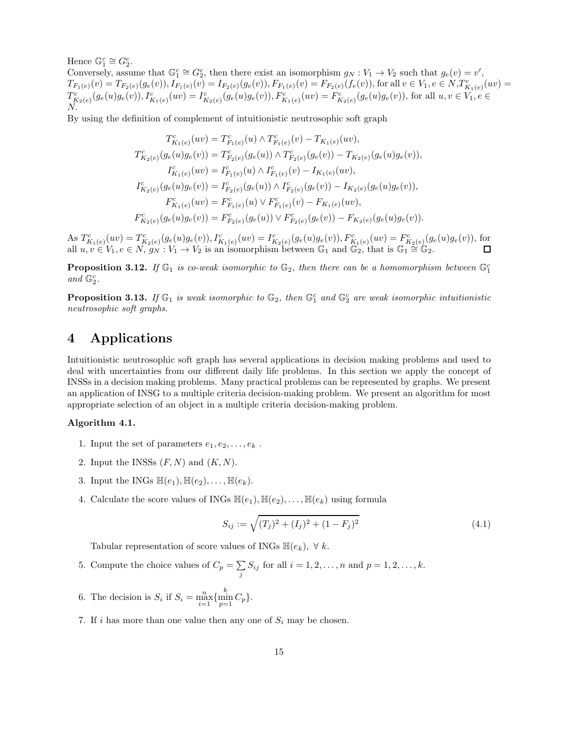Hence  $\mathbb{G}_1^c \cong G_2^c$ .

Conversely, assume that  $\mathbb{G}_1^c \cong G_2^c$ , then there exist an isomorphism  $g_N : V_1 \to V_2$  such that  $g_e(v) = v'$ , Conversely, assume that  $\mathbb{U}_1 = \mathbb{U}_2$ , then there exist an isomorphism  $g_N : v_1 \to v_2$  such that  $g_e(v) = v$ ,<br>  $T_{F_1(e)}(v) = T_{F_2(e)}(g_e(v)), I_{F_1(e)}(v) = I_{F_2(e)}(g_e(v)), F_{F_1(e)}(v) = F_{F_2(e)}(f_e(v)),$  for all  $v \in V_1, e \in N, T_{K_1(e)}(uv) =$  $T_{K_2(e)}^c(g_e(u)g_e(v)), I_{K_1(e)}^c(uv) = I_{K_2(e)}^c(g_e(u)g_e(v)), F_{K_1(e)}^c(uv) = F_{K_2(e)}^c(g_e(u)g_e(v)),$  for all  $u, v \in V_1, e \in V_2$ N.

By using the definition of complement of intuitionistic neutrosophic soft graph

$$
T_{K_1(e)}^c(uv) = T_{F_1(e)}^c(u) \wedge T_{F_1(e)}^c(v) - T_{K_1(e)}(uv),
$$
  
\n
$$
T_{K_2(e)}^c(g_e(u)g_e(v)) = T_{F_2(e)}^c(g_e(u)) \wedge T_{F_2(e)}^c(g_e(v)) - T_{K_2(e)}(g_e(u)g_e(v)),
$$
  
\n
$$
I_{K_1(e)}^c(uv) = I_{F_1(e)}^c(u) \wedge I_{F_1(e)}^c(v) - I_{K_1(e)}(uv),
$$
  
\n
$$
I_{K_2(e)}^c(g_e(u)g_e(v)) = I_{F_2(e)}^c(g_e(u)) \wedge I_{F_2(e)}^c(g_e(v)) - I_{K_2(e)}(g_e(u)g_e(v)),
$$
  
\n
$$
F_{K_1(e)}^c(uv) = F_{F_1(e)}^c(u) \vee F_{F_1(e)}^c(v) - F_{K_1(e)}(uv),
$$
  
\n
$$
F_{K_2(e)}^c(g_e(u)g_e(v)) = F_{F_2(e)}^c(g_e(u)) \vee F_{F_2(e)}^c(g_e(v)) - F_{K_2(e)}(g_e(u)g_e(v)).
$$

As  $T_{K_1(e)}^c(uv) = T_{K_2(e)}^c(g_e(u)g_e(v)), I_{K_1(e)}^c(uv) = I_{K_2(e)}^c(g_e(u)g_e(v)), F_{K_1(e)}^c(uv) = F_{K_2(e)}^c(g_e(u)g_e(v)),$  for all  $u, v \in V_1, e \in N$ ,  $g_N : V_1 \to V_2$  is an isomorphism between  $\mathbb{G}_1$  and  $\mathbb{G}_2$ , that is  $\mathbb{G}_1 \cong \mathbb{G}_2$ .

**Proposition 3.12.** If  $\mathbb{G}_1$  is co-weak isomorphic to  $\mathbb{G}_2$ , then there can be a homomorphism between  $\mathbb{G}_1^c$ and  $\mathbb{G}_2^c$ .

**Proposition 3.13.** If  $\mathbb{G}_1$  is weak isomorphic to  $\mathbb{G}_2$ , then  $\mathbb{G}_1^c$  and  $\mathbb{G}_2^c$  are weak isomorphic intuitionistic neutrosophic soft graphs.

# 4 Applications

Intuitionistic neutrosophic soft graph has several applications in decision making problems and used to deal with uncertainties from our different daily life problems. In this section we apply the concept of INSSs in a decision making problems. Many practical problems can be represented by graphs. We present an application of INSG to a multiple criteria decision-making problem. We present an algorithm for most appropriate selection of an object in a multiple criteria decision-making problem.

#### Algorithm 4.1.

- 1. Input the set of parameters  $e_1, e_2, \ldots, e_k$ .
- 2. Input the INSSs  $(F, N)$  and  $(K, N)$ .
- 3. Input the INGs  $\mathbb{H}(e_1), \mathbb{H}(e_2), \ldots, \mathbb{H}(e_k)$ .
- 4. Calculate the score values of INGs  $\mathbb{H}(e_1), \mathbb{H}(e_2), \ldots, \mathbb{H}(e_k)$  using formula

$$
S_{ij} := \sqrt{(T_j)^2 + (I_j)^2 + (1 - F_j)^2}
$$
\n(4.1)

Tabular representation of score values of INGs  $\mathbb{H}(e_k)$ ,  $\forall k$ .

- 5. Compute the choice values of  $C_p = \sum_j S_{ij}$  for all  $i = 1, 2, ..., n$  and  $p = 1, 2, ..., k$ .
- 6. The decision is  $S_i$  if  $S_i = \max_{i=1}^n \{\min_{p=1}^k C_p\}.$
- 7. If i has more than one value then any one of  $S_i$  may be chosen.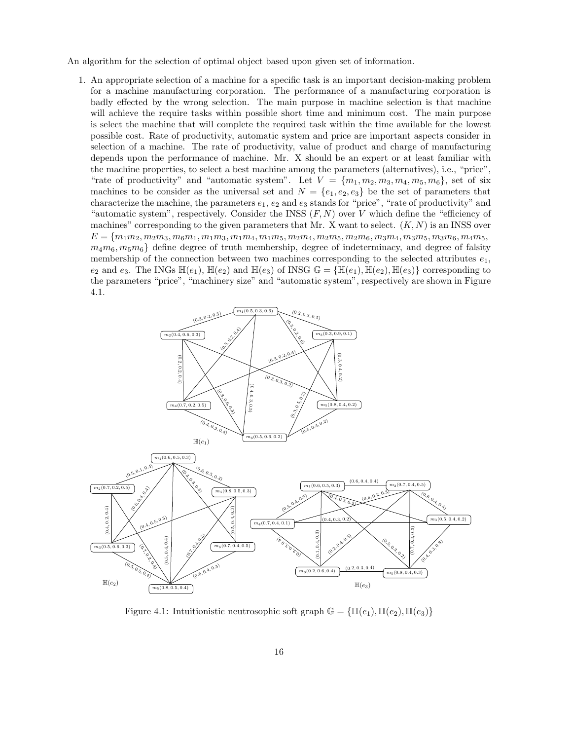An algorithm for the selection of optimal object based upon given set of information.

1. An appropriate selection of a machine for a specific task is an important decision-making problem for a machine manufacturing corporation. The performance of a manufacturing corporation is badly effected by the wrong selection. The main purpose in machine selection is that machine will achieve the require tasks within possible short time and minimum cost. The main purpose is select the machine that will complete the required task within the time available for the lowest possible cost. Rate of productivity, automatic system and price are important aspects consider in selection of a machine. The rate of productivity, value of product and charge of manufacturing depends upon the performance of machine. Mr. X should be an expert or at least familiar with the machine properties, to select a best machine among the parameters (alternatives), i.e., "price", "rate of productivity" and "automatic system". Let  $V = \{m_1, m_2, m_3, m_4, m_5, m_6\}$ , set of six machines to be consider as the universal set and  $N = \{e_1, e_2, e_3\}$  be the set of parameters that characterize the machine, the parameters  $e_1, e_2$  and  $e_3$  stands for "price", "rate of productivity" and "automatic system", respectively. Consider the INSS  $(F, N)$  over V which define the "efficiency of machines" corresponding to the given parameters that Mr. X want to select.  $(K, N)$  is an INSS over  $E = \{m_1m_2, m_2m_3, m_6m_1, m_1m_3, m_1m_4, m_1m_5, m_2m_4, m_2m_5, m_2m_6, m_3m_4, m_3m_5, m_3m_6, m_4m_5,$  $m_4m_6, m_5m_6$ } define degree of truth membership, degree of indeterminacy, and degree of falsity membership of the connection between two machines corresponding to the selected attributes  $e_1$ ,  $e_2$  and  $e_3$ . The INGs  $\mathbb{H}(e_1)$ ,  $\mathbb{H}(e_2)$  and  $\mathbb{H}(e_3)$  of INSG  $\mathbb{G} = {\mathbb{H}(e_1), \mathbb{H}(e_2), \mathbb{H}(e_3)}$  corresponding to the parameters "price", "machinery size" and "automatic system", respectively are shown in Figure 4.1.



Figure 4.1: Intuitionistic neutrosophic soft graph  $\mathbb{G} = \{\mathbb{H}(e_1), \mathbb{H}(e_2), \mathbb{H}(e_3)\}\$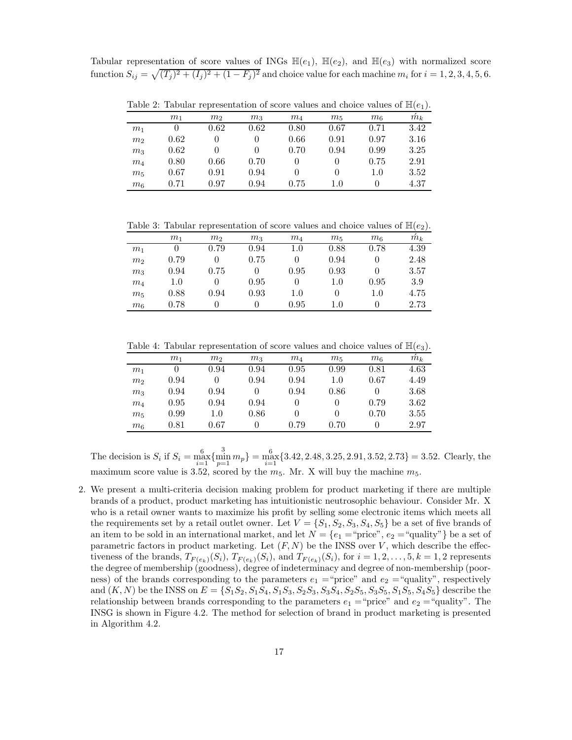Tabular representation of score values of INGs  $\mathbb{H}(e_1)$ ,  $\mathbb{H}(e_2)$ , and  $\mathbb{H}(e_3)$  with normalized score function  $S_{ij} = \sqrt{(T_j)^2 + (I_j)^2 + (1 - F_j)^2}$  and choice value for each machine  $m_i$  for  $i = 1, 2, 3, 4, 5, 6$ .

Table 2: Tabular representation of score values and choice values of  $\mathbb{H}(e_1)$ .

|                | m <sub>1</sub> | m <sub>2</sub> | m <sub>3</sub> | $m_4$    | $m_5$        | m <sub>6</sub> | $m_k$ |
|----------------|----------------|----------------|----------------|----------|--------------|----------------|-------|
| m <sub>1</sub> |                | 0.62           | 0.62           | 0.80     | 0.67         | 0.71           | 3.42  |
| m <sub>2</sub> | 0.62           |                |                | 0.66     | 0.91         | 0.97           | 3.16  |
| m <sub>3</sub> | 0.62           |                |                | 0.70     | 0.94         | 0.99           | 3.25  |
| m <sub>4</sub> | 0.80           | 0.66           | 0.70           | $\Omega$ | $\mathbf{0}$ | 0.75           | 2.91  |
| $m_5$          | 0.67           | 0.91           | 0.94           | $\Omega$ | $\Omega$     | 1.0            | 3.52  |
| $m_6$          | 0.71           | 0.97           | 0.94           | 0.75     | 1.0          | $\mathbf{0}$   | 4.37  |

Table 3: Tabular representation of score values and choice values of  $\mathbb{H}(e_2)$ .

|                | m <sub>1</sub> | m <sub>2</sub> | m <sub>3</sub> | $m_4$   | $m_5$        | m <sub>6</sub> | $m_k$ |
|----------------|----------------|----------------|----------------|---------|--------------|----------------|-------|
| m <sub>1</sub> |                | 0.79           | 0.94           | $1.0\,$ | 0.88         | 0.78           | 4.39  |
| m <sub>2</sub> | 0.79           |                | 0.75           |         | 0.94         |                | 2.48  |
| m <sub>3</sub> | 0.94           | 0.75           |                | 0.95    | 0.93         |                | 3.57  |
| $m_4$          | 1.0            |                | 0.95           |         | $1.0\,$      | 0.95           | 3.9   |
| $m_5$          | 0.88           | 0.94           | 0.93           | 1.0     | $\mathbf{0}$ | $1.0\,$        | 4.75  |
| m <sub>6</sub> | 0.78           |                |                | 0.95    | 1.0          | $\theta$       | 2.73  |

Table 4: Tabular representation of score values and choice values of  $\mathbb{H}(e_3)$ .

|                | m <sub>1</sub> | m <sub>2</sub> | m <sub>3</sub> | $m_4$ | $m_5$   | m <sub>6</sub> | $m_k$ |
|----------------|----------------|----------------|----------------|-------|---------|----------------|-------|
| m <sub>1</sub> |                | 0.94           | 0.94           | 0.95  | 0.99    | 0.81           | 4.63  |
| m <sub>2</sub> | 0.94           |                | 0.94           | 0.94  | $1.0\,$ | 0.67           | 4.49  |
| m <sub>3</sub> | 0.94           | 0.94           |                | 0.94  | 0.86    |                | 3.68  |
| $m_4$          | 0.95           | 0.94           | 0.94           |       |         | 0.79           | 3.62  |
| $m_5$          | 0.99           | $1.0\,$        | 0.86           |       |         | 0.70           | 3.55  |
| m <sub>6</sub> | 0.81           | 0.67           |                | 0.79  | 0.70    | $\cup$         | 2.97  |

The decision is  $S_i$  if  $S_i = \max_{i=1}^6 \{\min_{p=1}^3 m_p\} = \max_{i=1}^6 \{3.42, 2.48, 3.25, 2.91, 3.52, 2.73\} = 3.52$ . Clearly, the maximum score value is 3.52, scored by the  $m_5$ . Mr. X will buy the machine  $m_5$ .

2. We present a multi-criteria decision making problem for product marketing if there are multiple brands of a product, product marketing has intuitionistic neutrosophic behaviour. Consider Mr. X who is a retail owner wants to maximize his profit by selling some electronic items which meets all the requirements set by a retail outlet owner. Let  $V = \{S_1, S_2, S_3, S_4, S_5\}$  be a set of five brands of an item to be sold in an international market, and let  $N = \{e_1 = \text{``price''}, e_2 = \text{``quality''}\}\$ be a set of parametric factors in product marketing. Let  $(F, N)$  be the INSS over V, which describe the effectiveness of the brands,  $T_{F(e_k)}(S_i)$ ,  $T_{F(e_k)}(S_i)$ , and  $T_{F(e_k)}(S_i)$ , for  $i = 1, 2, ..., 5, k = 1, 2$  represents the degree of membership (goodness), degree of indeterminacy and degree of non-membership (poorness) of the brands corresponding to the parameters  $e_1 = \text{``price''}$  and  $e_2 = \text{``quality''}$ , respectively and  $(K, N)$  be the INSS on  $E = \{S_1S_2, S_1S_4, S_1S_3, S_2S_3, S_3S_4, S_2S_5, S_3S_5, S_1S_5, S_4S_5\}$  describe the relationship between brands corresponding to the parameters  $e_1 = \text{``price''}$  and  $e_2 = \text{``quality''}$ . The INSG is shown in Figure 4.2. The method for selection of brand in product marketing is presented in Algorithm 4.2.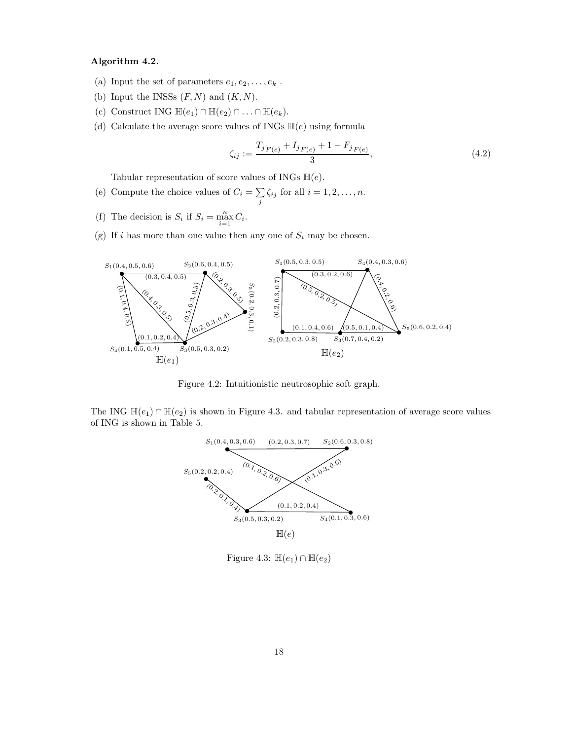#### Algorithm 4.2.

- (a) Input the set of parameters  $e_1, e_2, \ldots, e_k$ .
- (b) Input the INSSs  $(F, N)$  and  $(K, N)$ .
- (c) Construct ING  $\mathbb{H}(e_1) \cap \mathbb{H}(e_2) \cap \ldots \cap \mathbb{H}(e_k)$ .
- (d) Calculate the average score values of INGs  $\mathbb{H}(e)$  using formula

$$
\zeta_{ij} := \frac{T_{j|F(e)} + I_{j|F(e)} + 1 - F_{j|F(e)}}{3},\tag{4.2}
$$

Tabular representation of score values of INGs  $\mathbb{H}(e)$ .

- (e) Compute the choice values of  $C_i = \sum_j \zeta_{ij}$  for all  $i = 1, 2, ..., n$ .
- (f) The decision is  $S_i$  if  $S_i = \max_{i=1}^n C_i$ .
- (g) If i has more than one value then any one of  $S_i$  may be chosen.



Figure 4.2: Intuitionistic neutrosophic soft graph.

The ING  $\mathbb{H}(e_1) \cap \mathbb{H}(e_2)$  is shown in Figure 4.3. and tabular representation of average score values of ING is shown in Table 5.



Figure 4.3:  $\mathbb{H}(e_1) \cap \mathbb{H}(e_2)$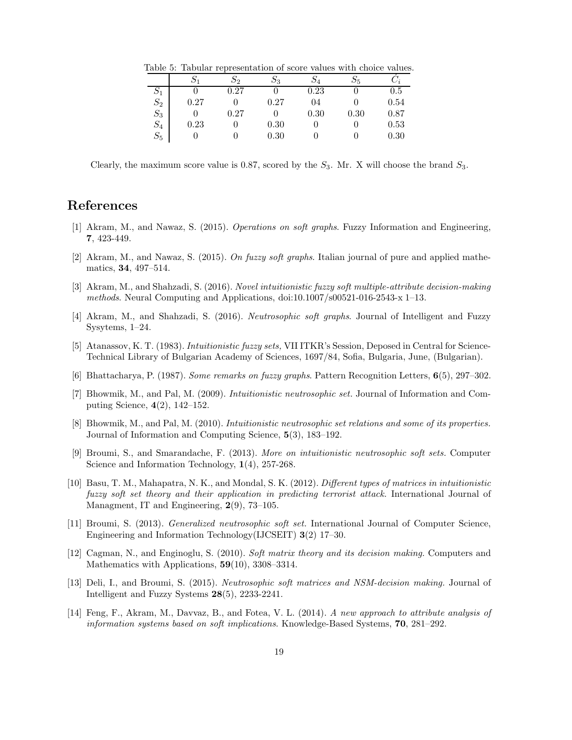Table 5: Tabular representation of score values with choice values.

|                 | Ν1   | $\mathcal{D}2$ | Ο3   | $S_4$ | 25   |         |
|-----------------|------|----------------|------|-------|------|---------|
| $\mathcal{D}_1$ |      | 0.27           |      | 0.23  |      | $0.5\,$ |
| $S_2$           | 0.27 |                | 0.27 | 04    |      | 0.54    |
| $S_3$           |      | 0.27           |      | 0.30  | 0.30 | 0.87    |
| $S_4$           | 0.23 |                | 0.30 |       |      | 0.53    |
| $S_5$           |      |                | 0.30 |       |      | 0.30    |

Clearly, the maximum score value is 0.87, scored by the  $S_3$ . Mr. X will choose the brand  $S_3$ .

## References

- [1] Akram, M., and Nawaz, S. (2015). Operations on soft graphs. Fuzzy Information and Engineering, 7, 423-449.
- [2] Akram, M., and Nawaz, S. (2015). On fuzzy soft graphs. Italian journal of pure and applied mathematics, 34, 497–514.
- [3] Akram, M., and Shahzadi, S. (2016). Novel intuitionistic fuzzy soft multiple-attribute decision-making methods. Neural Computing and Applications, doi:10.1007/s00521-016-2543-x 1–13.
- [4] Akram, M., and Shahzadi, S. (2016). Neutrosophic soft graphs. Journal of Intelligent and Fuzzy Sysytems, 1–24.
- [5] Atanassov, K. T. (1983). Intuitionistic fuzzy sets, VII ITKR's Session, Deposed in Central for Science-Technical Library of Bulgarian Academy of Sciences, 1697/84, Sofia, Bulgaria, June, (Bulgarian).
- [6] Bhattacharya, P. (1987). Some remarks on fuzzy graphs. Pattern Recognition Letters, 6(5), 297–302.
- [7] Bhowmik, M., and Pal, M. (2009). Intuitionistic neutrosophic set. Journal of Information and Computing Science, 4(2), 142–152.
- [8] Bhowmik, M., and Pal, M. (2010). Intuitionistic neutrosophic set relations and some of its properties. Journal of Information and Computing Science, 5(3), 183–192.
- [9] Broumi, S., and Smarandache, F. (2013). More on intuitionistic neutrosophic soft sets. Computer Science and Information Technology,  $1(4)$ , 257-268.
- [10] Basu, T. M., Mahapatra, N. K., and Mondal, S. K. (2012). Different types of matrices in intuitionistic fuzzy soft set theory and their application in predicting terrorist attack. International Journal of Managment, IT and Engineering, 2(9), 73–105.
- [11] Broumi, S. (2013). Generalized neutrosophic soft set. International Journal of Computer Science, Engineering and Information Technology(IJCSEIT) 3(2) 17–30.
- [12] Cagman, N., and Enginoglu, S. (2010). Soft matrix theory and its decision making. Computers and Mathematics with Applications, 59(10), 3308–3314.
- [13] Deli, I., and Broumi, S. (2015). Neutrosophic soft matrices and NSM-decision making. Journal of Intelligent and Fuzzy Systems 28(5), 2233-2241.
- [14] Feng, F., Akram, M., Davvaz, B., and Fotea, V. L. (2014). A new approach to attribute analysis of information systems based on soft implications. Knowledge-Based Systems, 70, 281–292.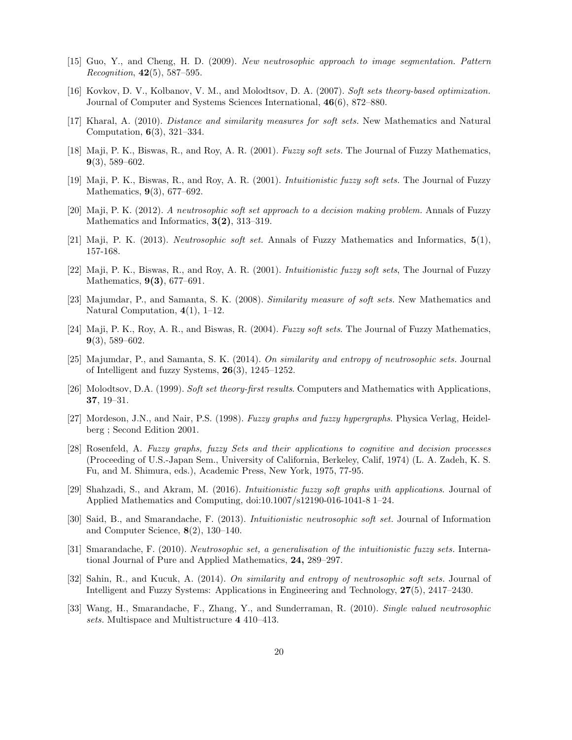- [15] Guo, Y., and Cheng, H. D. (2009). New neutrosophic approach to image segmentation. Pattern Recognition,  $42(5)$ , 587–595.
- [16] Kovkov, D. V., Kolbanov, V. M., and Molodtsov, D. A. (2007). Soft sets theory-based optimization. Journal of Computer and Systems Sciences International, 46(6), 872–880.
- [17] Kharal, A. (2010). Distance and similarity measures for soft sets. New Mathematics and Natural Computation, 6(3), 321–334.
- [18] Maji, P. K., Biswas, R., and Roy, A. R. (2001). Fuzzy soft sets. The Journal of Fuzzy Mathematics, 9(3), 589–602.
- [19] Maji, P. K., Biswas, R., and Roy, A. R. (2001). Intuitionistic fuzzy soft sets. The Journal of Fuzzy Mathematics, 9(3), 677–692.
- [20] Maji, P. K. (2012). A neutrosophic soft set approach to a decision making problem. Annals of Fuzzy Mathematics and Informatics,  $3(2)$ , 313–319.
- [21] Maji, P. K. (2013). Neutrosophic soft set. Annals of Fuzzy Mathematics and Informatics, 5(1), 157-168.
- [22] Maji, P. K., Biswas, R., and Roy, A. R. (2001). Intuitionistic fuzzy soft sets, The Journal of Fuzzy Mathematics, 9(3), 677–691.
- [23] Majumdar, P., and Samanta, S. K. (2008). Similarity measure of soft sets. New Mathematics and Natural Computation, 4(1), 1–12.
- [24] Maji, P. K., Roy, A. R., and Biswas, R. (2004). Fuzzy soft sets. The Journal of Fuzzy Mathematics, 9(3), 589–602.
- [25] Majumdar, P., and Samanta, S. K. (2014). On similarity and entropy of neutrosophic sets. Journal of Intelligent and fuzzy Systems, 26(3), 1245–1252.
- [26] Molodtsov, D.A. (1999). Soft set theory-first results. Computers and Mathematics with Applications, 37, 19–31.
- [27] Mordeson, J.N., and Nair, P.S. (1998). Fuzzy graphs and fuzzy hypergraphs. Physica Verlag, Heidelberg ; Second Edition 2001.
- [28] Rosenfeld, A. Fuzzy graphs, fuzzy Sets and their applications to cognitive and decision processes (Proceeding of U.S.-Japan Sem., University of California, Berkeley, Calif, 1974) (L. A. Zadeh, K. S. Fu, and M. Shimura, eds.), Academic Press, New York, 1975, 77-95.
- [29] Shahzadi, S., and Akram, M. (2016). Intuitionistic fuzzy soft graphs with applications. Journal of Applied Mathematics and Computing, doi:10.1007/s12190-016-1041-8 1–24.
- [30] Said, B., and Smarandache, F. (2013). Intuitionistic neutrosophic soft set. Journal of Information and Computer Science, 8(2), 130–140.
- [31] Smarandache, F. (2010). Neutrosophic set, a generalisation of the intuitionistic fuzzy sets. International Journal of Pure and Applied Mathematics, 24, 289–297.
- [32] Sahin, R., and Kucuk, A. (2014). On similarity and entropy of neutrosophic soft sets. Journal of Intelligent and Fuzzy Systems: Applications in Engineering and Technology, 27(5), 2417–2430.
- [33] Wang, H., Smarandache, F., Zhang, Y., and Sunderraman, R. (2010). Single valued neutrosophic sets. Multispace and Multistructure 4 410–413.